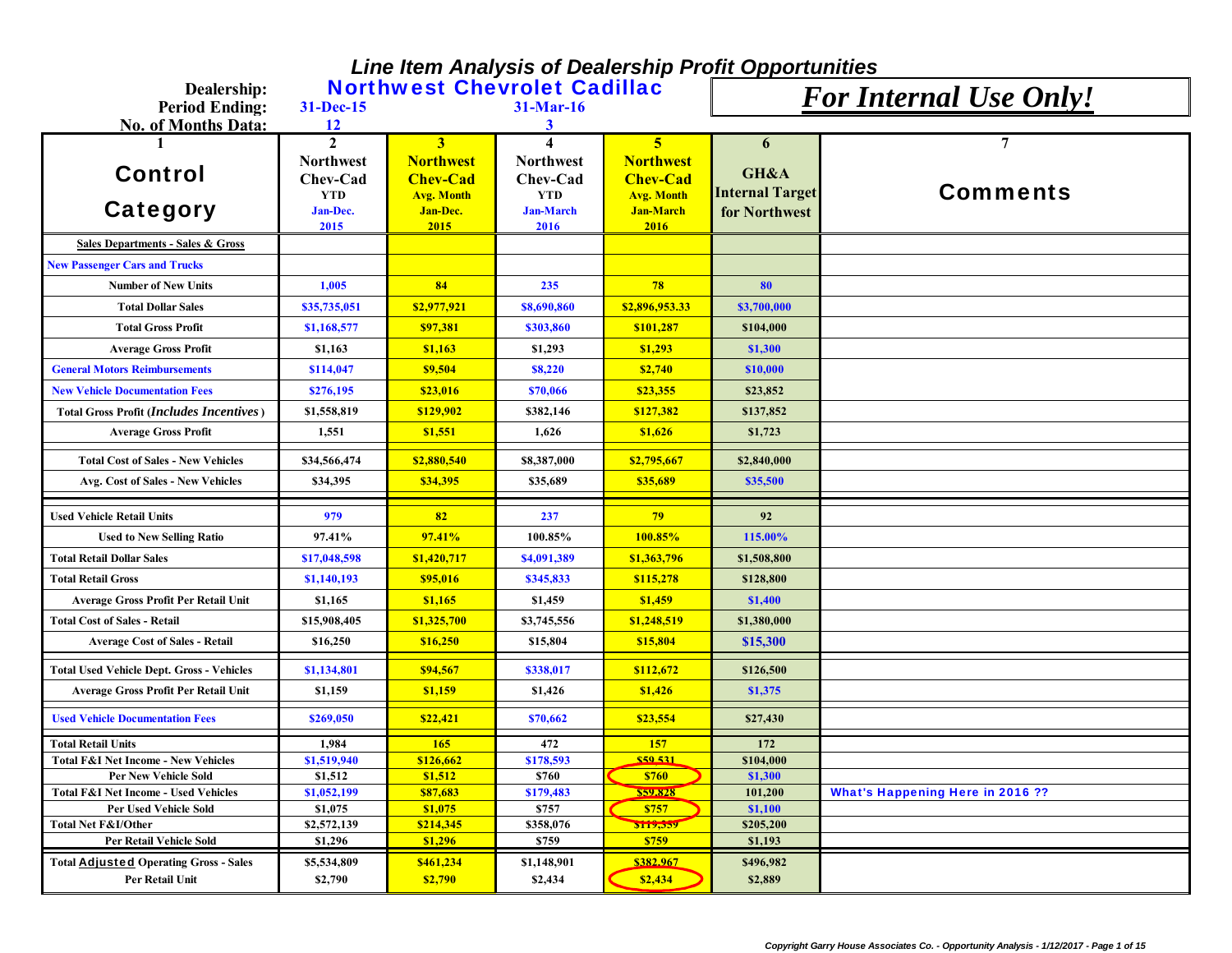## *Line Item Analysis of Dealership Profit Opportunities*

| Dealership:                                                                     |                        |                                      | <b>Northwest Chevrolet Cadillac</b> |                                     | <b>For Internal Use Only!</b> |                                         |
|---------------------------------------------------------------------------------|------------------------|--------------------------------------|-------------------------------------|-------------------------------------|-------------------------------|-----------------------------------------|
| <b>Period Ending:</b>                                                           | 31-Dec-15              |                                      | $31-Mar-16$                         |                                     |                               |                                         |
| No. of Months Data:                                                             | 12                     |                                      | 3                                   |                                     |                               |                                         |
|                                                                                 | $\mathbf{2}$           | 3                                    | $\boldsymbol{\Lambda}$              | $\overline{5}$                      | 6                             | 7                                       |
| <b>Control</b>                                                                  | <b>Northwest</b>       | <b>Northwest</b>                     | <b>Northwest</b>                    | <b>Northwest</b><br><b>Chev-Cad</b> | GH&A                          |                                         |
|                                                                                 | Chev-Cad<br><b>YTD</b> | <b>Chev-Cad</b><br><b>Avg. Month</b> | Chev-Cad<br><b>YTD</b>              | <b>Avg. Month</b>                   | <b>Internal Target</b>        | <b>Comments</b>                         |
| Category                                                                        | Jan-Dec.               | Jan-Dec.                             | <b>Jan-March</b>                    | <b>Jan-March</b>                    | for Northwest                 |                                         |
|                                                                                 | 2015                   | 2015                                 | 2016                                | 2016                                |                               |                                         |
| <b>Sales Departments - Sales &amp; Gross</b>                                    |                        |                                      |                                     |                                     |                               |                                         |
| <b>New Passenger Cars and Trucks</b>                                            |                        |                                      |                                     |                                     |                               |                                         |
| <b>Number of New Units</b>                                                      | 1,005                  | 84                                   | 235                                 | 78                                  | 80                            |                                         |
| <b>Total Dollar Sales</b>                                                       | \$35,735,051           | \$2,977,921                          | \$8,690,860                         | \$2,896,953.33                      | \$3,700,000                   |                                         |
| <b>Total Gross Profit</b>                                                       | \$1,168,577            | \$97,381                             | \$303,860                           | \$101,287                           | \$104,000                     |                                         |
| <b>Average Gross Profit</b>                                                     | \$1,163                | \$1,163                              | \$1,293                             | \$1,293                             | \$1,300                       |                                         |
| <b>General Motors Reimbursements</b>                                            | \$114,047              | \$9,504                              | \$8,220                             | \$2,740                             | \$10,000                      |                                         |
| <b>New Vehicle Documentation Fees</b>                                           | \$276,195              | \$23,016                             | \$70,066                            | \$23,355                            | \$23,852                      |                                         |
| <b>Total Gross Profit (Includes Incentives)</b>                                 | \$1,558,819            | \$129,902                            | \$382,146                           | \$127,382                           | \$137,852                     |                                         |
| <b>Average Gross Profit</b>                                                     | 1,551                  | \$1,551                              | 1,626                               | \$1,626                             | \$1,723                       |                                         |
| <b>Total Cost of Sales - New Vehicles</b>                                       | \$34,566,474           | \$2,880,540                          | \$8,387,000                         | \$2,795,667                         | \$2,840,000                   |                                         |
| Avg. Cost of Sales - New Vehicles                                               | \$34,395               | \$34,395                             | \$35,689                            | \$35,689                            | \$35,500                      |                                         |
| <b>Used Vehicle Retail Units</b>                                                | 979                    | 82                                   | 237                                 | 79                                  | 92                            |                                         |
| <b>Used to New Selling Ratio</b>                                                | 97.41%                 | 97.41%                               | 100.85%                             | 100.85%                             | 115.00%                       |                                         |
| <b>Total Retail Dollar Sales</b>                                                | \$17,048,598           | \$1,420,717                          | \$4,091,389                         | \$1,363,796                         | \$1,508,800                   |                                         |
|                                                                                 |                        |                                      |                                     |                                     |                               |                                         |
| <b>Total Retail Gross</b>                                                       | \$1,140,193            | \$95,016                             | \$345,833                           | \$115,278                           | \$128,800                     |                                         |
| Average Gross Profit Per Retail Unit                                            | \$1,165                | \$1,165                              | \$1,459                             | \$1,459                             | \$1,400                       |                                         |
| <b>Total Cost of Sales - Retail</b>                                             | \$15,908,405           | \$1,325,700                          | \$3,745,556                         | \$1,248,519                         | \$1,380,000                   |                                         |
| <b>Average Cost of Sales - Retail</b>                                           | \$16,250               | \$16,250                             | \$15,804                            | \$15,804                            | \$15,300                      |                                         |
| <b>Total Used Vehicle Dept. Gross - Vehicles</b>                                | \$1,134,801            | \$94,567                             | \$338,017                           | \$112,672                           | \$126,500                     |                                         |
| Average Gross Profit Per Retail Unit                                            | \$1,159                | \$1,159                              | \$1,426                             | \$1,426                             | \$1,375                       |                                         |
| <b>Used Vehicle Documentation Fees</b>                                          | \$269,050              | \$22,421                             | \$70,662                            | \$23,554                            | \$27,430                      |                                         |
| <b>Total Retail Units</b>                                                       | 1,984                  | 165                                  | 472                                 | 157                                 | 172                           |                                         |
| <b>Total F&amp;I Net Income - New Vehicles</b>                                  | \$1,519,940            | \$126,662                            | \$178,593                           | \$50.531                            | \$104,000                     |                                         |
| <b>Per New Vehicle Sold</b>                                                     | \$1,512                | \$1,512                              | \$760                               | <b>\$760</b>                        | \$1,300                       |                                         |
| <b>Total F&amp;I Net Income - Used Vehicles</b><br><b>Per Used Vehicle Sold</b> | \$1,052,199<br>\$1,075 | \$87,683<br>\$1,075                  | \$179,483<br>\$757                  | <b>S59.828</b><br>\$757             | 101,200<br>\$1,100            | <b>What's Happening Here in 2016 ??</b> |
| <b>Total Net F&amp;I/Other</b>                                                  | \$2,572,139            | \$214,345                            | \$358,076                           | 5119,559                            | \$205,200                     |                                         |
| Per Retail Vehicle Sold                                                         | \$1,296                | \$1,296                              | \$759                               | \$759                               | \$1,193                       |                                         |
| <b>Total Adjusted Operating Gross - Sales</b>                                   | \$5,534,809            | \$461,234                            | \$1,148,901                         | \$382.967                           | \$496,982                     |                                         |
| Per Retail Unit                                                                 | \$2,790                | \$2,790                              | \$2,434                             | \$2,434                             | \$2,889                       |                                         |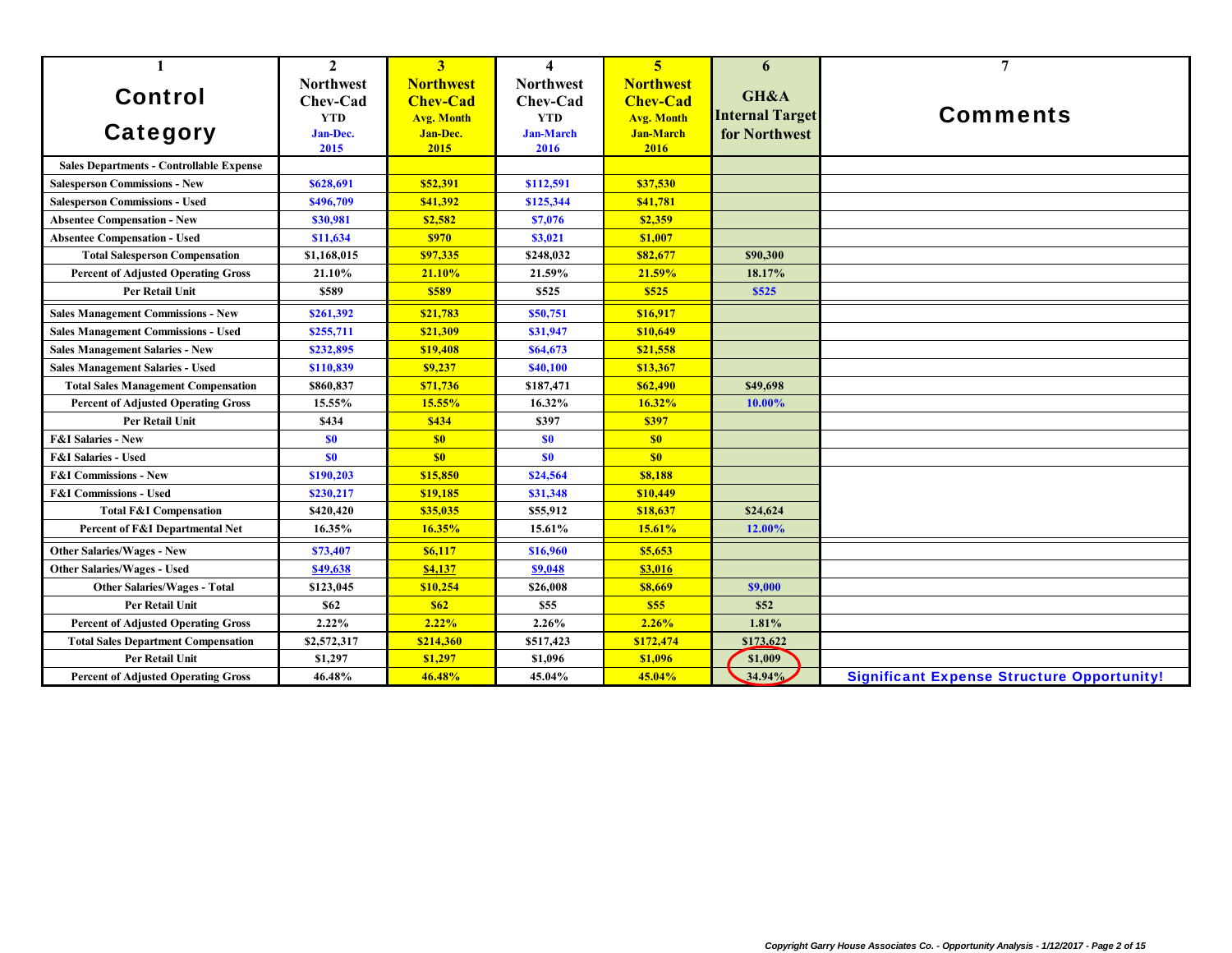| $\mathbf{1}$                                    | $\mathbf{2}$     | 3                 | $\boldsymbol{4}$ | $\overline{5}$    | 6                      | $\overline{7}$                                    |
|-------------------------------------------------|------------------|-------------------|------------------|-------------------|------------------------|---------------------------------------------------|
|                                                 | <b>Northwest</b> | <b>Northwest</b>  | <b>Northwest</b> | <b>Northwest</b>  |                        |                                                   |
| <b>Control</b>                                  | Chev-Cad         | <b>Chev-Cad</b>   | Chev-Cad         | <b>Chev-Cad</b>   | GH&A                   |                                                   |
|                                                 | <b>YTD</b>       | <b>Avg. Month</b> | <b>YTD</b>       | <b>Avg. Month</b> | <b>Internal Target</b> | <b>Comments</b>                                   |
| <b>Category</b>                                 | Jan-Dec.         | Jan-Dec.          | <b>Jan-March</b> | <b>Jan-March</b>  | for Northwest          |                                                   |
|                                                 | 2015             | 2015              | 2016             | 2016              |                        |                                                   |
| <b>Sales Departments - Controllable Expense</b> |                  |                   |                  |                   |                        |                                                   |
| <b>Salesperson Commissions - New</b>            | \$628,691        | \$52,391          | \$112,591        | \$37,530          |                        |                                                   |
| <b>Salesperson Commissions - Used</b>           | \$496,709        | \$41,392          | \$125,344        | \$41,781          |                        |                                                   |
| <b>Absentee Compensation - New</b>              | \$30,981         | \$2,582           | \$7,076          | \$2,359           |                        |                                                   |
| <b>Absentee Compensation - Used</b>             | \$11,634         | \$970             | \$3,021          | \$1,007           |                        |                                                   |
| <b>Total Salesperson Compensation</b>           | \$1,168,015      | \$97,335          | \$248,032        | \$82,677          | \$90,300               |                                                   |
| <b>Percent of Adjusted Operating Gross</b>      | 21.10%           | 21.10%            | 21.59%           | 21.59%            | 18.17%                 |                                                   |
| Per Retail Unit                                 | \$589            | \$589             | \$525            | \$525             | \$525                  |                                                   |
| <b>Sales Management Commissions - New</b>       | \$261,392        | \$21,783          | \$50,751         | \$16,917          |                        |                                                   |
| <b>Sales Management Commissions - Used</b>      | \$255,711        | \$21,309          | \$31,947         | \$10,649          |                        |                                                   |
| <b>Sales Management Salaries - New</b>          | \$232,895        | \$19,408          | \$64,673         | \$21,558          |                        |                                                   |
| <b>Sales Management Salaries - Used</b>         | \$110,839        | \$9,237           | \$40,100         | \$13,367          |                        |                                                   |
| <b>Total Sales Management Compensation</b>      | \$860,837        | \$71,736          | \$187,471        | \$62,490          | \$49,698               |                                                   |
| <b>Percent of Adjusted Operating Gross</b>      | 15.55%           | 15.55%            | 16.32%           | 16.32%            | 10.00%                 |                                                   |
| <b>Per Retail Unit</b>                          | \$434            | \$434             | \$397            | \$397             |                        |                                                   |
| <b>F&amp;I Salaries - New</b>                   | <b>SO</b>        | S <sub>0</sub>    | <b>SO</b>        | \$0               |                        |                                                   |
| <b>F&amp;I Salaries - Used</b>                  | <b>SO</b>        | \$0               | <b>SO</b>        | \$0               |                        |                                                   |
| <b>F&amp;I Commissions - New</b>                | \$190,203        | \$15,850          | \$24,564         | \$8,188           |                        |                                                   |
| <b>F&amp;I Commissions - Used</b>               | \$230,217        | \$19,185          | \$31,348         | \$10,449          |                        |                                                   |
| <b>Total F&amp;I Compensation</b>               | \$420,420        | \$35,035          | \$55,912         | \$18,637          | \$24,624               |                                                   |
| Percent of F&I Departmental Net                 | 16.35%           | 16.35%            | 15.61%           | 15.61%            | 12.00%                 |                                                   |
| Other Salaries/Wages - New                      | \$73,407         | \$6,117           | \$16,960         | \$5,653           |                        |                                                   |
| <b>Other Salaries/Wages - Used</b>              | \$49,638         | \$4,137           | \$9,048          | \$3,016           |                        |                                                   |
| <b>Other Salaries/Wages - Total</b>             | \$123,045        | \$10,254          | \$26,008         | \$8,669           | \$9,000                |                                                   |
| Per Retail Unit                                 | \$62             | \$62              | \$55             | \$55              | \$52                   |                                                   |
| <b>Percent of Adjusted Operating Gross</b>      | 2.22%            | 2.22%             | 2.26%            | 2.26%             | 1.81%                  |                                                   |
| <b>Total Sales Department Compensation</b>      | \$2,572,317      | \$214,360         | \$517,423        | \$172,474         | \$173,622              |                                                   |
| <b>Per Retail Unit</b>                          | \$1,297          | \$1,297           | \$1,096          | \$1,096           | \$1,009                |                                                   |
| <b>Percent of Adjusted Operating Gross</b>      | 46.48%           | 46.48%            | 45.04%           | 45.04%            | 34.94%                 | <b>Significant Expense Structure Opportunity!</b> |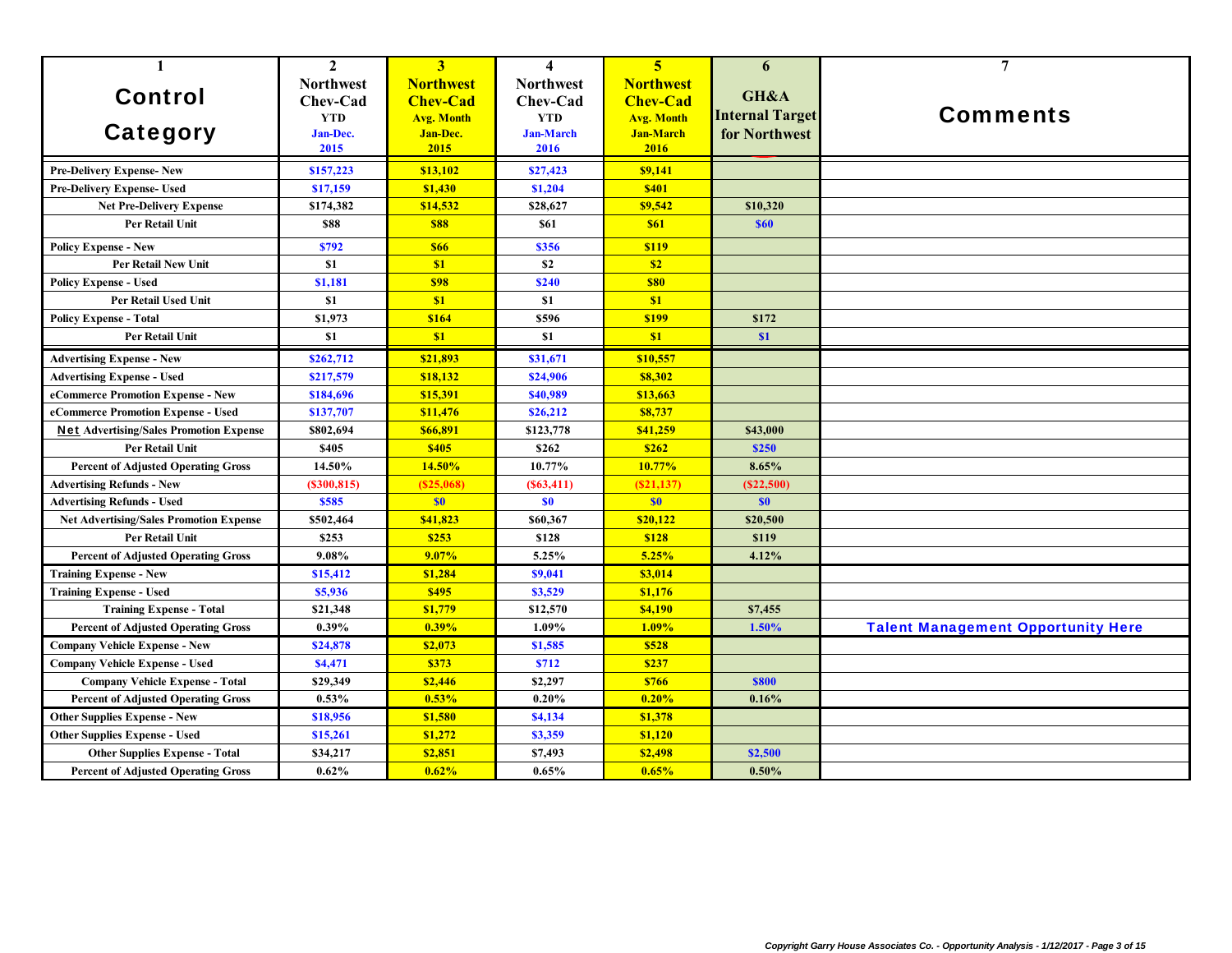| $\mathbf{1}$                                   | $\mathbf{2}$     | $\overline{\mathbf{3}}$ | $\overline{\mathbf{4}}$ | $\overline{5}$    | 6                      | $\overline{7}$                            |
|------------------------------------------------|------------------|-------------------------|-------------------------|-------------------|------------------------|-------------------------------------------|
|                                                | <b>Northwest</b> | <b>Northwest</b>        | <b>Northwest</b>        | <b>Northwest</b>  |                        |                                           |
| <b>Control</b>                                 | Chev-Cad         | <b>Chev-Cad</b>         | Chev-Cad                | <b>Chev-Cad</b>   | GH&A                   |                                           |
|                                                | <b>YTD</b>       | <b>Avg. Month</b>       | <b>YTD</b>              | <b>Avg. Month</b> | <b>Internal Target</b> | <b>Comments</b>                           |
| <b>Category</b>                                | Jan-Dec.         | Jan-Dec.                | <b>Jan-March</b>        | <b>Jan-March</b>  | for Northwest          |                                           |
|                                                | 2015             | 2015                    | 2016                    | 2016              |                        |                                           |
| <b>Pre-Delivery Expense-New</b>                | \$157,223        | \$13,102                | \$27,423                | \$9,141           |                        |                                           |
| Pre-Delivery Expense- Used                     | \$17,159         | \$1,430                 | \$1,204                 | <b>\$401</b>      |                        |                                           |
| <b>Net Pre-Delivery Expense</b>                | \$174,382        | \$14,532                | \$28,627                | \$9,542           | \$10,320               |                                           |
| Per Retail Unit                                | \$88             | <b>\$88</b>             | \$61                    | <b>\$61</b>       | <b>\$60</b>            |                                           |
| <b>Policy Expense - New</b>                    | \$792            | <b>\$66</b>             | \$356                   | \$119             |                        |                                           |
| Per Retail New Unit                            | \$1              | \$1                     | \$2                     | \$2               |                        |                                           |
| <b>Policy Expense - Used</b>                   | \$1,181          | <b>\$98</b>             | <b>\$240</b>            | <b>\$80</b>       |                        |                                           |
| <b>Per Retail Used Unit</b>                    | \$1              | \$1                     | \$1                     | \$1               |                        |                                           |
| <b>Policy Expense - Total</b>                  | \$1,973          | \$164                   | \$596                   | \$199             | \$172                  |                                           |
| Per Retail Unit                                | \$1              | \$1                     | \$1                     | \$1               | \$1                    |                                           |
| <b>Advertising Expense - New</b>               | \$262,712        | \$21,893                | \$31,671                | \$10,557          |                        |                                           |
| <b>Advertising Expense - Used</b>              | \$217,579        | \$18,132                | \$24,906                | \$8,302           |                        |                                           |
| eCommerce Promotion Expense - New              | \$184,696        | \$15,391                | \$40,989                | \$13,663          |                        |                                           |
| eCommerce Promotion Expense - Used             | \$137,707        | \$11,476                | \$26,212                | \$8,737           |                        |                                           |
| <b>Net Advertising/Sales Promotion Expense</b> | \$802,694        | \$66,891                | \$123,778               | \$41,259          | \$43,000               |                                           |
| <b>Per Retail Unit</b>                         | \$405            | \$405                   | \$262                   | \$262             | \$250                  |                                           |
| <b>Percent of Adjusted Operating Gross</b>     | 14.50%           | 14.50%                  | 10.77%                  | 10.77%            | 8.65%                  |                                           |
| <b>Advertising Refunds - New</b>               | (S300, 815)      | (S25,068)               | (S63, 411)              | (S21, 137)        | (S22,500)              |                                           |
| <b>Advertising Refunds - Used</b>              | \$585            | \$0                     | S <sub>0</sub>          | \$0               | \$0                    |                                           |
| <b>Net Advertising/Sales Promotion Expense</b> | \$502,464        | \$41,823                | \$60,367                | \$20,122          | \$20,500               |                                           |
| Per Retail Unit                                | \$253            | \$253                   | \$128                   | \$128             | \$119                  |                                           |
| <b>Percent of Adjusted Operating Gross</b>     | 9.08%            | 9.07%                   | 5.25%                   | 5.25%             | 4.12%                  |                                           |
| <b>Training Expense - New</b>                  | \$15,412         | \$1,284                 | \$9,041                 | \$3,014           |                        |                                           |
| <b>Training Expense - Used</b>                 | \$5,936          | \$495                   | \$3,529                 | \$1,176           |                        |                                           |
| <b>Training Expense - Total</b>                | \$21,348         | \$1,779                 | \$12,570                | \$4,190           | \$7,455                |                                           |
| <b>Percent of Adjusted Operating Gross</b>     | 0.39%            | 0.39%                   | 1.09%                   | 1.09%             | 1.50%                  | <b>Talent Management Opportunity Here</b> |
| <b>Company Vehicle Expense - New</b>           | \$24,878         | \$2,073                 | \$1,585                 | \$528             |                        |                                           |
| <b>Company Vehicle Expense - Used</b>          | \$4,471          | \$373                   | <b>\$712</b>            | \$237             |                        |                                           |
| <b>Company Vehicle Expense - Total</b>         | \$29,349         | \$2,446                 | \$2,297                 | <b>\$766</b>      | <b>\$800</b>           |                                           |
| <b>Percent of Adjusted Operating Gross</b>     | 0.53%            | 0.53%                   | 0.20%                   | 0.20%             | 0.16%                  |                                           |
| <b>Other Supplies Expense - New</b>            | \$18,956         | \$1,580                 | \$4,134                 | \$1,378           |                        |                                           |
| <b>Other Supplies Expense - Used</b>           | \$15,261         | \$1,272                 | \$3,359                 | \$1,120           |                        |                                           |
| <b>Other Supplies Expense - Total</b>          | \$34,217         | \$2,851                 | \$7,493                 | \$2,498           | \$2,500                |                                           |
| <b>Percent of Adjusted Operating Gross</b>     | 0.62%            | 0.62%                   | 0.65%                   | 0.65%             | $0.50\%$               |                                           |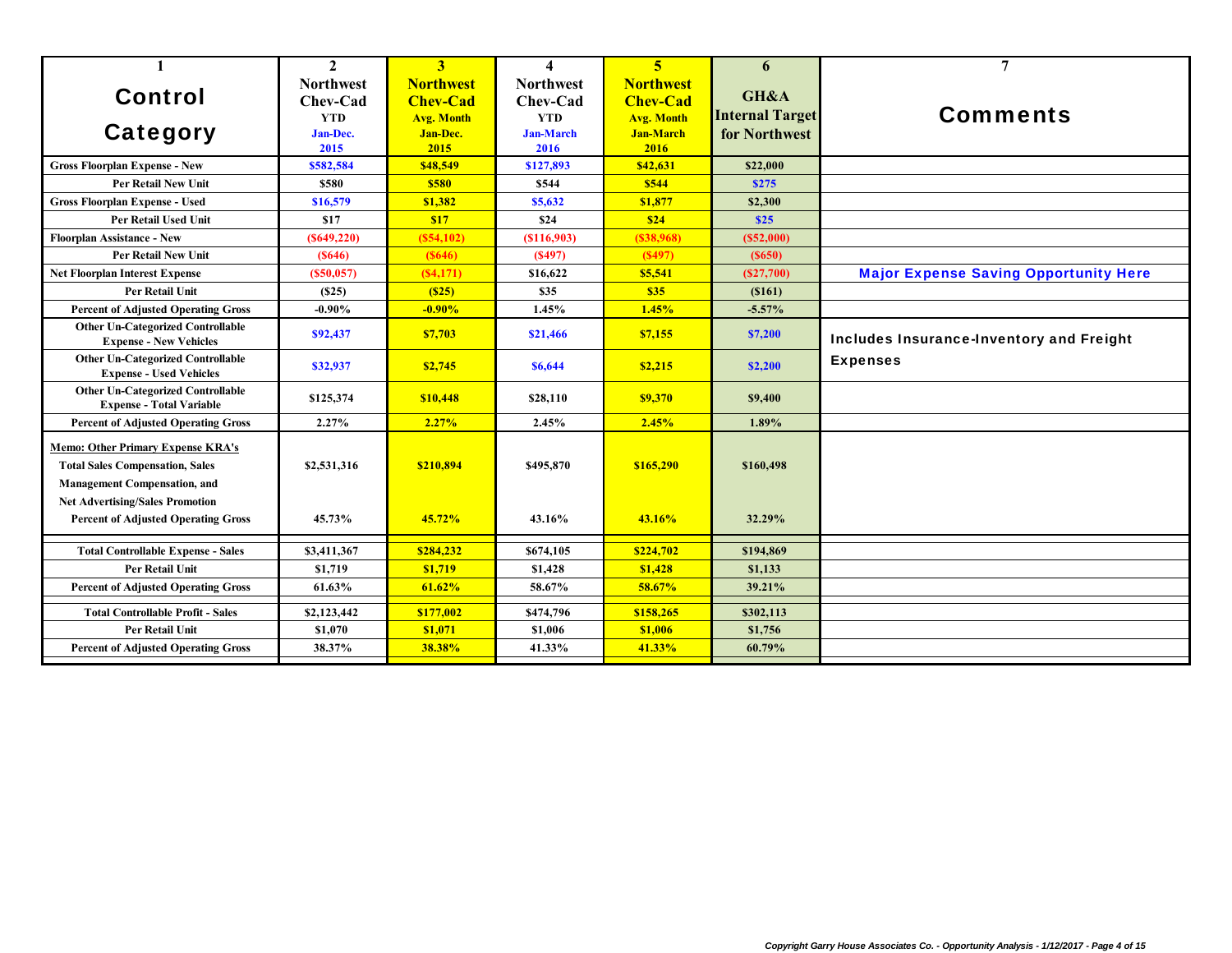| 1                                                                                                                         | $\mathbf{2}$     | 3                 | $\boldsymbol{\Lambda}$ | $\overline{\mathbf{5}}$ | 6                      | $\overline{7}$                               |
|---------------------------------------------------------------------------------------------------------------------------|------------------|-------------------|------------------------|-------------------------|------------------------|----------------------------------------------|
|                                                                                                                           | <b>Northwest</b> | <b>Northwest</b>  | <b>Northwest</b>       | <b>Northwest</b>        |                        |                                              |
| <b>Control</b>                                                                                                            | Chev-Cad         | <b>Chev-Cad</b>   | Chev-Cad               | <b>Chev-Cad</b>         | GH&A                   |                                              |
|                                                                                                                           | <b>YTD</b>       | <b>Avg. Month</b> | <b>YTD</b>             | <b>Avg. Month</b>       | <b>Internal Target</b> | <b>Comments</b>                              |
| Category                                                                                                                  | Jan-Dec.         | Jan-Dec.          | <b>Jan-March</b>       | <b>Jan-March</b>        | for Northwest          |                                              |
|                                                                                                                           | 2015             | 2015              | 2016                   | 2016                    |                        |                                              |
| <b>Gross Floorplan Expense - New</b>                                                                                      | \$582,584        | \$48,549          | \$127,893              | \$42,631                | \$22,000               |                                              |
| <b>Per Retail New Unit</b>                                                                                                | \$580            | \$580             | \$544                  | \$544                   | <b>\$275</b>           |                                              |
| <b>Gross Floorplan Expense - Used</b>                                                                                     | \$16,579         | \$1,382           | \$5,632                | \$1,877                 | \$2,300                |                                              |
| <b>Per Retail Used Unit</b>                                                                                               | \$17             | <b>S17</b>        | \$24                   | \$24                    | \$25                   |                                              |
| <b>Floorplan Assistance - New</b>                                                                                         | (S649, 220)      | (S54, 102)        | (S116,903)             | $($ \$38,968)           | (S52,000)              |                                              |
| <b>Per Retail New Unit</b>                                                                                                | (S646)           | (S646)            | (S497)                 | (S497)                  | (S650)                 |                                              |
| <b>Net Floorplan Interest Expense</b>                                                                                     | (S50, 057)       | (S4,171)          | \$16,622               | \$5,541                 | (S27,700)              | <b>Major Expense Saving Opportunity Here</b> |
| <b>Per Retail Unit</b>                                                                                                    | (S25)            | (S25)             | \$35                   | \$35                    | (S161)                 |                                              |
| <b>Percent of Adjusted Operating Gross</b>                                                                                | $-0.90\%$        | $-0.90%$          | 1.45%                  | 1.45%                   | $-5.57%$               |                                              |
| <b>Other Un-Categorized Controllable</b><br><b>Expense - New Vehicles</b>                                                 | \$92,437         | \$7,703           | \$21,466               | \$7,155                 | \$7,200                | Includes Insurance-Inventory and Freight     |
| <b>Other Un-Categorized Controllable</b><br><b>Expense - Used Vehicles</b>                                                | \$32,937         | \$2,745           | \$6,644                | \$2,215                 | \$2,200                | <b>Expenses</b>                              |
| <b>Other Un-Categorized Controllable</b><br><b>Expense - Total Variable</b>                                               | \$125,374        | \$10,448          | \$28,110               | \$9,370                 | \$9,400                |                                              |
| <b>Percent of Adjusted Operating Gross</b>                                                                                | 2.27%            | 2.27%             | 2.45%                  | 2.45%                   | 1.89%                  |                                              |
| <b>Memo: Other Primary Expense KRA's</b><br><b>Total Sales Compensation, Sales</b><br><b>Management Compensation, and</b> | \$2,531,316      | \$210,894         | \$495,870              | \$165,290               | \$160,498              |                                              |
| <b>Net Advertising/Sales Promotion</b><br><b>Percent of Adjusted Operating Gross</b>                                      | 45.73%           | 45.72%            | 43.16%                 | 43.16%                  | 32.29%                 |                                              |
| <b>Total Controllable Expense - Sales</b>                                                                                 | \$3,411,367      | \$284,232         | \$674,105              | \$224,702               | \$194,869              |                                              |
| <b>Per Retail Unit</b>                                                                                                    | \$1,719          | \$1,719           | \$1.428                | \$1,428                 | \$1,133                |                                              |
| <b>Percent of Adjusted Operating Gross</b>                                                                                | 61.63%           | 61.62%            | 58.67%                 | 58.67%                  | 39.21%                 |                                              |
| <b>Total Controllable Profit - Sales</b>                                                                                  | \$2,123,442      | \$177,002         | \$474,796              | \$158,265               | \$302,113              |                                              |
| <b>Per Retail Unit</b>                                                                                                    | \$1,070          | \$1,071           | \$1,006                | \$1,006                 | \$1,756                |                                              |
| <b>Percent of Adjusted Operating Gross</b>                                                                                | 38.37%           | 38.38%            | 41.33%                 | 41.33%                  | 60.79%                 |                                              |
|                                                                                                                           |                  |                   |                        |                         |                        |                                              |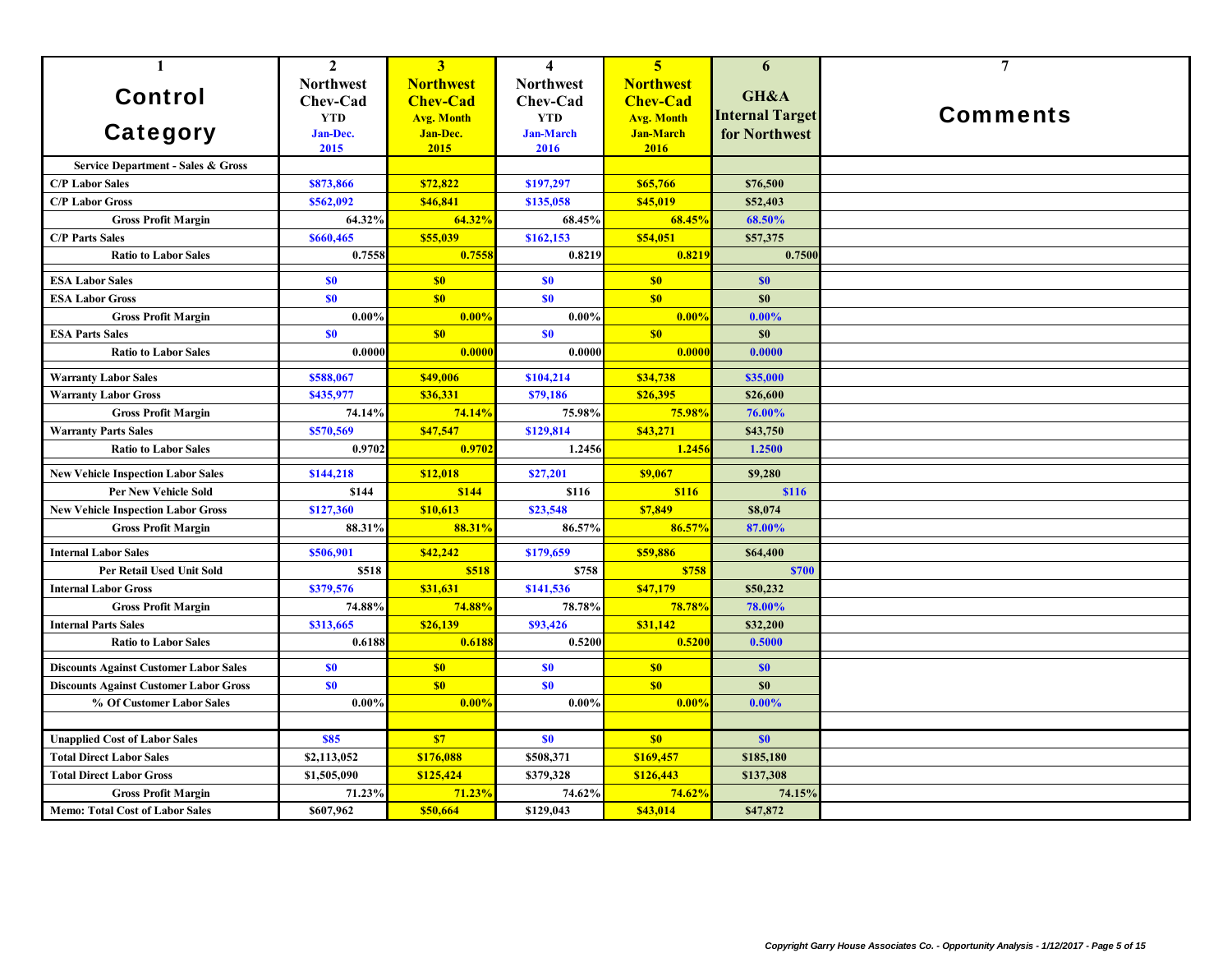| $\mathbf{1}$                                  | $\overline{2}$   | 3 <sup>1</sup>           | $\overline{\mathbf{4}}$ | 5 <sup>5</sup>    | 6                      | $\overline{7}$  |
|-----------------------------------------------|------------------|--------------------------|-------------------------|-------------------|------------------------|-----------------|
|                                               | <b>Northwest</b> | <b>Northwest</b>         | <b>Northwest</b>        | <b>Northwest</b>  |                        |                 |
| <b>Control</b>                                | Chev-Cad         | <b>Chev-Cad</b>          | Chev-Cad                | <b>Chev-Cad</b>   | GH&A                   |                 |
|                                               | <b>YTD</b>       | <b>Avg. Month</b>        | <b>YTD</b>              | <b>Avg. Month</b> | <b>Internal Target</b> | <b>Comments</b> |
| Category                                      | Jan-Dec.         | <b>Jan-Dec.</b>          | <b>Jan-March</b>        | <b>Jan-March</b>  | for Northwest          |                 |
|                                               | 2015             | 2015                     | 2016                    | 2016              |                        |                 |
| Service Department - Sales & Gross            |                  |                          |                         |                   |                        |                 |
| <b>C/P Labor Sales</b>                        | \$873,866        | \$72,822                 | \$197,297               | \$65,766          | \$76,500               |                 |
| <b>C/P Labor Gross</b>                        | \$562,092        | \$46,841                 | \$135,058               | \$45,019          | \$52,403               |                 |
| <b>Gross Profit Margin</b>                    | 64.32%           | 64.32%                   | 68.45%                  | 68.45%            | 68.50%                 |                 |
| <b>C/P Parts Sales</b>                        | \$660,465        | \$55,039                 | \$162,153               | \$54,051          | \$57,375               |                 |
| <b>Ratio to Labor Sales</b>                   | 0.7558           | 0.755                    | 0.8219                  | 0.8219            | 0.7500                 |                 |
| <b>ESA Labor Sales</b>                        | \$0              | \$0                      | S <sub>0</sub>          | \$0               | \$0                    |                 |
| <b>ESA Labor Gross</b>                        | \$0              | S <sub>0</sub>           | S <sub>0</sub>          | \$0               | \$0                    |                 |
| <b>Gross Profit Margin</b>                    | $0.00\%$         | 0.00%                    | 0.00%                   | 0.00%             | $0.00\%$               |                 |
| <b>ESA Parts Sales</b>                        | <b>SO</b>        | \$0                      | \$0                     | \$0               | \$0                    |                 |
| <b>Ratio to Labor Sales</b>                   | 0.0000           | 0.0000                   | 0.0000                  | 0.0000            | 0.0000                 |                 |
| <b>Warranty Labor Sales</b>                   | \$588,067        | \$49,006                 | \$104,214               | \$34,738          | \$35,000               |                 |
| <b>Warranty Labor Gross</b>                   | \$435,977        | \$36,331                 | \$79,186                | \$26,395          | \$26,600               |                 |
| <b>Gross Profit Margin</b>                    | 74.14%           | 74.14%                   | 75.98%                  | 75.98%            | 76.00%                 |                 |
| <b>Warranty Parts Sales</b>                   | \$570,569        | \$47,547                 | \$129,814               | \$43,271          | \$43,750               |                 |
| <b>Ratio to Labor Sales</b>                   | 0.9702           | 0.9702                   | 1.2456                  | 1.245             | 1.2500                 |                 |
| <b>New Vehicle Inspection Labor Sales</b>     | \$144,218        | \$12,018                 | \$27,201                | \$9,067           | \$9,280                |                 |
| <b>Per New Vehicle Sold</b>                   | \$144            | <b>\$144</b>             | \$116                   | <b>\$116</b>      | <b>\$116</b>           |                 |
| <b>New Vehicle Inspection Labor Gross</b>     | \$127,360        | \$10.613                 | \$23,548                | \$7,849           | \$8,074                |                 |
| <b>Gross Profit Margin</b>                    | 88.31%           | 88.31%                   | 86.57%                  | 86.57%            | 87.00%                 |                 |
| <b>Internal Labor Sales</b>                   | \$506,901        | \$42,242                 | \$179,659               | \$59,886          | \$64,400               |                 |
| Per Retail Used Unit Sold                     | \$518            | \$518                    | \$758                   | \$758             | <b>\$700</b>           |                 |
| <b>Internal Labor Gross</b>                   | \$379,576        | \$31,631                 | \$141,536               | \$47,179          | \$50,232               |                 |
| <b>Gross Profit Margin</b>                    | 74.88%           | 74.88%                   | 78.78%                  | <b>78.78%</b>     | 78.00%                 |                 |
| <b>Internal Parts Sales</b>                   | \$313,665        | \$26,139                 | \$93,426                | \$31,142          | \$32,200               |                 |
| <b>Ratio to Labor Sales</b>                   | 0.6188           | 0.6188                   | 0.5200                  | 0.5200            | 0.5000                 |                 |
| <b>Discounts Against Customer Labor Sales</b> | \$0              | S <sub>0</sub>           | S <sub>0</sub>          | \$0               | \$0                    |                 |
| <b>Discounts Against Customer Labor Gross</b> | \$0              | \$0                      | S <sub>0</sub>          | \$0               | \$0                    |                 |
| % Of Customer Labor Sales                     | $0.00\%$         | 0.00%                    | $0.00\%$                | 0.00%             | $0.00\%$               |                 |
|                                               |                  |                          |                         |                   |                        |                 |
| <b>Unapplied Cost of Labor Sales</b>          | <b>\$85</b>      | $\overline{\textbf{S}7}$ | \$0                     | \$0               | \$0                    |                 |
| <b>Total Direct Labor Sales</b>               | \$2,113,052      | \$176,088                | \$508,371               | \$169,457         | \$185,180              |                 |
| <b>Total Direct Labor Gross</b>               | \$1,505,090      | \$125,424                | \$379,328               | \$126,443         | \$137,308              |                 |
| <b>Gross Profit Margin</b>                    | 71.23%           | 71.23%                   | 74.62%                  | 74.62%            | 74.15%                 |                 |
| <b>Memo: Total Cost of Labor Sales</b>        | \$607.962        | \$50,664                 | \$129,043               | \$43,014          | \$47,872               |                 |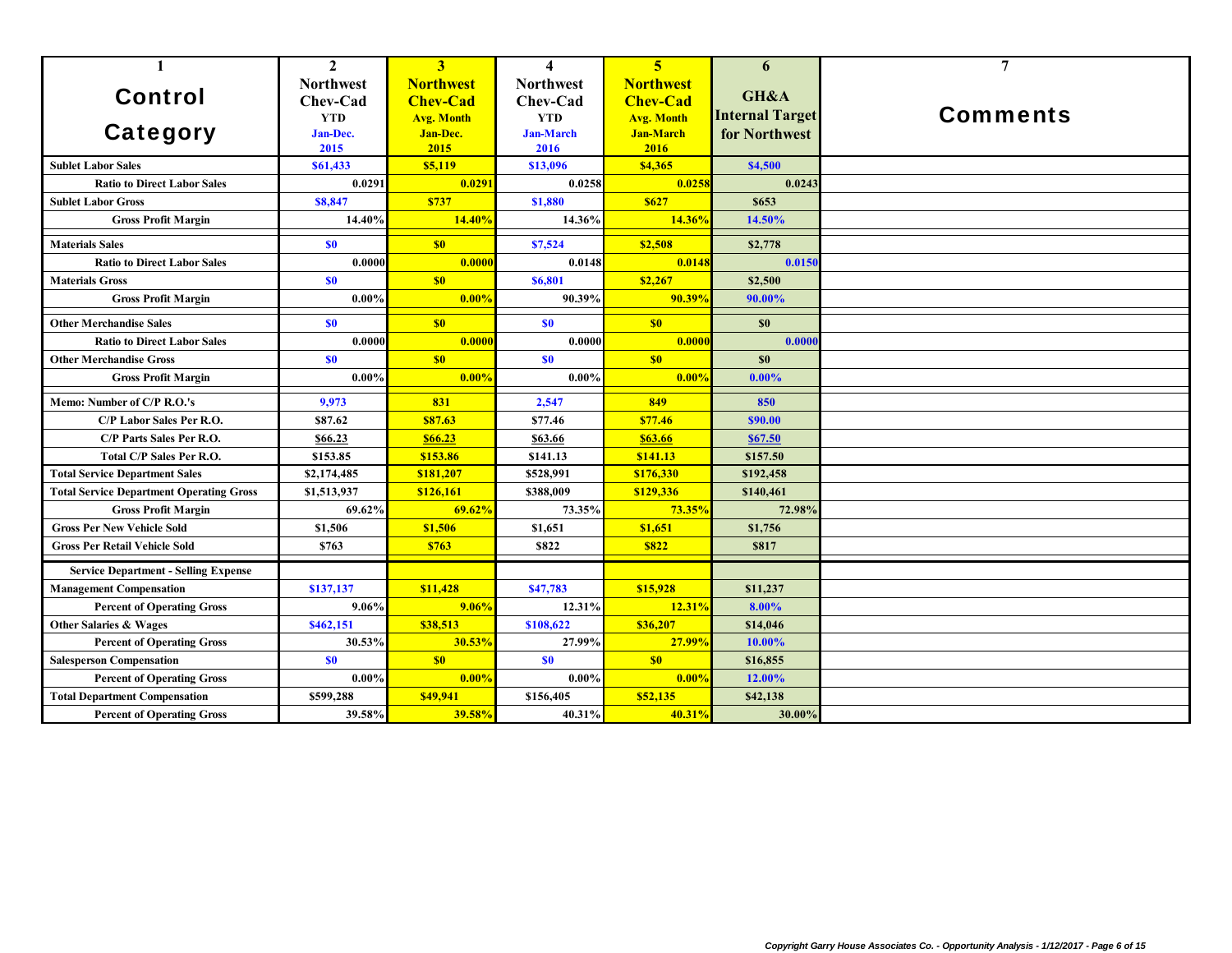| $\mathbf{1}$                                    | $\mathbf{2}$                                                   | 3                                                                            | $\overline{\mathbf{4}}$                                                | $\overline{5}$                                                                       | 6                                               | $\overline{7}$  |
|-------------------------------------------------|----------------------------------------------------------------|------------------------------------------------------------------------------|------------------------------------------------------------------------|--------------------------------------------------------------------------------------|-------------------------------------------------|-----------------|
| <b>Control</b><br>Category                      | <b>Northwest</b><br>Chev-Cad<br><b>YTD</b><br>Jan-Dec.<br>2015 | <b>Northwest</b><br><b>Chev-Cad</b><br><b>Avg. Month</b><br>Jan-Dec.<br>2015 | <b>Northwest</b><br>Chev-Cad<br><b>YTD</b><br><b>Jan-March</b><br>2016 | <b>Northwest</b><br><b>Chev-Cad</b><br><b>Avg. Month</b><br><b>Jan-March</b><br>2016 | GH&A<br><b>Internal Target</b><br>for Northwest | <b>Comments</b> |
| <b>Sublet Labor Sales</b>                       | \$61,433                                                       | \$5,119                                                                      | \$13,096                                                               | \$4,365                                                                              | \$4,500                                         |                 |
| <b>Ratio to Direct Labor Sales</b>              | 0.0291                                                         | 0.0291                                                                       | 0.0258                                                                 | 0.0258                                                                               | 0.0243                                          |                 |
| <b>Sublet Labor Gross</b>                       | \$8,847                                                        | \$737                                                                        | \$1,880                                                                | <b>S627</b>                                                                          | \$653                                           |                 |
| <b>Gross Profit Margin</b>                      | 14.40%                                                         | 14.40%                                                                       | 14.36%                                                                 | 14.36%                                                                               | 14.50%                                          |                 |
| <b>Materials Sales</b>                          | \$0                                                            | S <sub>0</sub>                                                               | \$7,524                                                                | \$2,508                                                                              | \$2,778                                         |                 |
| <b>Ratio to Direct Labor Sales</b>              | 0.0000                                                         | 0.0000                                                                       | 0.0148                                                                 | 0.0148                                                                               | 0.0150                                          |                 |
| <b>Materials Gross</b>                          | \$0                                                            | \$0                                                                          | \$6,801                                                                | \$2,267                                                                              | \$2,500                                         |                 |
| <b>Gross Profit Margin</b>                      | $0.00\%$                                                       | $0.00\%$                                                                     | 90.39%                                                                 | 90.39%                                                                               | 90.00%                                          |                 |
| <b>Other Merchandise Sales</b>                  | \$0                                                            | \$0                                                                          | \$0                                                                    | \$0                                                                                  | \$0                                             |                 |
| <b>Ratio to Direct Labor Sales</b>              | 0.0000                                                         | 0.0000                                                                       | 0.0000                                                                 | 0.0000                                                                               | 0.0000                                          |                 |
| <b>Other Merchandise Gross</b>                  | \$0                                                            | \$0                                                                          | \$0                                                                    | \$0                                                                                  | \$0                                             |                 |
| <b>Gross Profit Margin</b>                      | $0.00\%$                                                       | $0.00\%$                                                                     | $0.00\%$                                                               | 0.00%                                                                                | $0.00\%$                                        |                 |
| Memo: Number of C/P R.O.'s                      | 9,973                                                          | 831                                                                          | 2.547                                                                  | 849                                                                                  | 850                                             |                 |
| C/P Labor Sales Per R.O.                        | \$87.62                                                        | \$87.63                                                                      | \$77.46                                                                | \$77.46                                                                              | \$90.00                                         |                 |
| C/P Parts Sales Per R.O.                        | \$66.23                                                        | \$66.23                                                                      | \$63.66                                                                | \$63.66                                                                              | \$67.50                                         |                 |
| <b>Total C/P Sales Per R.O.</b>                 | \$153.85                                                       | \$153.86                                                                     | \$141.13                                                               | \$141.13                                                                             | \$157.50                                        |                 |
| <b>Total Service Department Sales</b>           | \$2,174,485                                                    | \$181,207                                                                    | \$528,991                                                              | \$176,330                                                                            | \$192,458                                       |                 |
| <b>Total Service Department Operating Gross</b> | \$1,513,937                                                    | \$126,161                                                                    | \$388,009                                                              | \$129,336                                                                            | \$140,461                                       |                 |
| <b>Gross Profit Margin</b>                      | 69.62%                                                         | 69.62%                                                                       | 73.35%                                                                 | 73.35%                                                                               | 72.98%                                          |                 |
| <b>Gross Per New Vehicle Sold</b>               | \$1,506                                                        | \$1,506                                                                      | \$1,651                                                                | \$1,651                                                                              | \$1,756                                         |                 |
| <b>Gross Per Retail Vehicle Sold</b>            | \$763                                                          | \$763                                                                        | \$822                                                                  | <b>\$822</b>                                                                         | \$817                                           |                 |
| <b>Service Department - Selling Expense</b>     |                                                                |                                                                              |                                                                        |                                                                                      |                                                 |                 |
| <b>Management Compensation</b>                  | \$137,137                                                      | \$11,428                                                                     | \$47,783                                                               | \$15,928                                                                             | \$11,237                                        |                 |
| <b>Percent of Operating Gross</b>               | $9.06\%$                                                       | 9.06%                                                                        | 12.31%                                                                 | 12.31%                                                                               | 8.00%                                           |                 |
| <b>Other Salaries &amp; Wages</b>               | \$462,151                                                      | \$38,513                                                                     | \$108,622                                                              | \$36,207                                                                             | \$14,046                                        |                 |
| <b>Percent of Operating Gross</b>               | 30.53%                                                         | 30.53%                                                                       | 27.99%                                                                 | 27.99%                                                                               | 10.00%                                          |                 |
| <b>Salesperson Compensation</b>                 | \$0                                                            | S <sub>0</sub>                                                               | \$0                                                                    | \$0                                                                                  | \$16,855                                        |                 |
| <b>Percent of Operating Gross</b>               | $0.00\%$                                                       | 0.00%                                                                        | 0.00%                                                                  | 0.00%                                                                                | 12.00%                                          |                 |
| <b>Total Department Compensation</b>            | \$599,288                                                      | \$49,941                                                                     | \$156,405                                                              | \$52,135                                                                             | \$42,138                                        |                 |
| <b>Percent of Operating Gross</b>               | 39.58%                                                         | 39.58%                                                                       | 40.31%                                                                 | 40.31%                                                                               | 30.00%                                          |                 |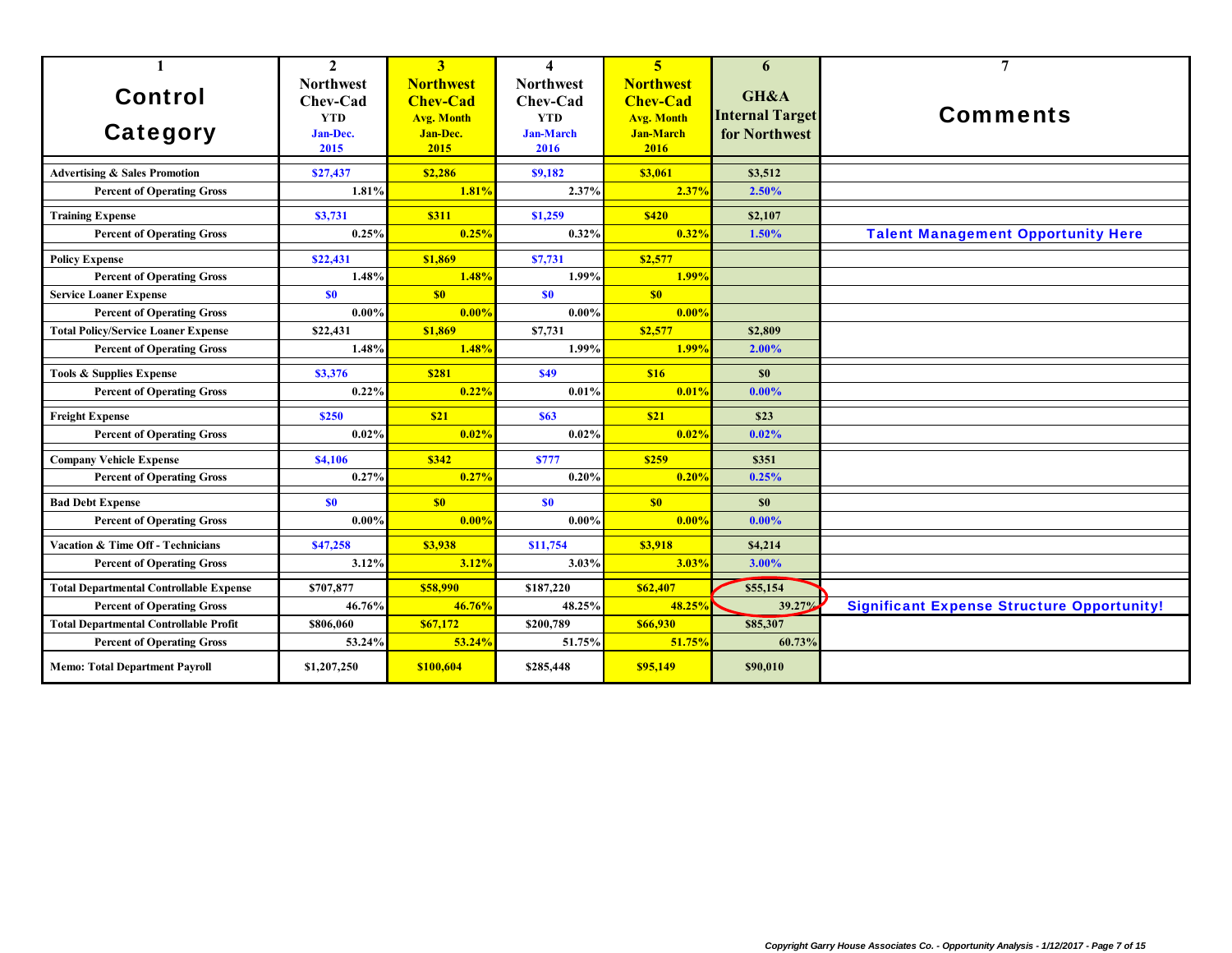| $\mathbf{1}$                                   | $\mathbf{2}$     | 3                 | $\boldsymbol{4}$ | $\overline{\mathbf{5}}$ | 6                      | 7                                                 |
|------------------------------------------------|------------------|-------------------|------------------|-------------------------|------------------------|---------------------------------------------------|
|                                                | <b>Northwest</b> | <b>Northwest</b>  | <b>Northwest</b> | <b>Northwest</b>        | GH&A                   |                                                   |
| <b>Control</b>                                 | Chev-Cad         | <b>Chev-Cad</b>   | Chev-Cad         | <b>Chev-Cad</b>         |                        |                                                   |
|                                                | <b>YTD</b>       | <b>Avg. Month</b> | <b>YTD</b>       | <b>Avg. Month</b>       | <b>Internal Target</b> | <b>Comments</b>                                   |
| <b>Category</b>                                | Jan-Dec.         | Jan-Dec.          | <b>Jan-March</b> | <b>Jan-March</b>        | for Northwest          |                                                   |
|                                                | 2015             | 2015              | 2016             | 2016                    |                        |                                                   |
| <b>Advertising &amp; Sales Promotion</b>       | \$27,437         | \$2,286           | \$9,182          | \$3,061                 | \$3,512                |                                                   |
| <b>Percent of Operating Gross</b>              | 1.81%            | 1.81%             | 2.37%            | 2.37%                   | 2.50%                  |                                                   |
| <b>Training Expense</b>                        | \$3,731          | <b>\$311</b>      | \$1,259          | <b>\$420</b>            | \$2,107                |                                                   |
| <b>Percent of Operating Gross</b>              | 0.25%            | 0.25%             | 0.32%            | 0.32%                   | 1.50%                  | <b>Talent Management Opportunity Here</b>         |
| <b>Policy Expense</b>                          | \$22,431         | \$1,869           | \$7,731          | \$2,577                 |                        |                                                   |
| <b>Percent of Operating Gross</b>              | 1.48%            | 1.48%             | 1.99%            | 1.99%                   |                        |                                                   |
| <b>Service Loaner Expense</b>                  | \$0              | S <sub>0</sub>    | \$0              | \$0                     |                        |                                                   |
| <b>Percent of Operating Gross</b>              | $0.00\%$         | 0.00%             | 0.00%            | 0.00%                   |                        |                                                   |
| <b>Total Policy/Service Loaner Expense</b>     | \$22,431         | \$1,869           | \$7,731          | \$2,577                 | \$2,809                |                                                   |
| <b>Percent of Operating Gross</b>              | 1.48%            | 1.48%             | 1.99%            | 1.99%                   | 2.00%                  |                                                   |
| <b>Tools &amp; Supplies Expense</b>            | \$3,376          | <b>\$281</b>      | \$49             | <b>S16</b>              | \$0                    |                                                   |
| <b>Percent of Operating Gross</b>              | 0.22%            | 0.22%             | 0.01%            | 0.01%                   | $0.00\%$               |                                                   |
| <b>Freight Expense</b>                         | \$250            | \$21              | <b>\$63</b>      | \$21                    | \$23                   |                                                   |
| <b>Percent of Operating Gross</b>              | 0.02%            | 0.02%             | 0.02%            | 0.02%                   | 0.02%                  |                                                   |
| <b>Company Vehicle Expense</b>                 | <b>\$4.106</b>   | \$342             | <b>\$777</b>     | \$259                   | \$351                  |                                                   |
| <b>Percent of Operating Gross</b>              | 0.27%            | 0.27%             | 0.20%            | 0.20%                   | 0.25%                  |                                                   |
| <b>Bad Debt Expense</b>                        | \$0              | S <sub>0</sub>    | \$0              | \$0                     | \$0                    |                                                   |
| <b>Percent of Operating Gross</b>              | $0.00\%$         | 0.00%             | $0.00\%$         | 0.00%                   | $0.00\%$               |                                                   |
| <b>Vacation &amp; Time Off - Technicians</b>   | \$47,258         | \$3,938           | \$11,754         | \$3,918                 | \$4,214                |                                                   |
| <b>Percent of Operating Gross</b>              | 3.12%            | 3.12%             | 3.03%            | 3.03%                   | 3.00%                  |                                                   |
| <b>Total Departmental Controllable Expense</b> | \$707,877        | \$58,990          | \$187,220        | \$62,407                | \$55,154               |                                                   |
| <b>Percent of Operating Gross</b>              | 46.76%           | 46.76%            | 48.25%           | 48.25%                  | 39.27%                 | <b>Significant Expense Structure Opportunity!</b> |
| <b>Total Departmental Controllable Profit</b>  | \$806,060        | \$67,172          | \$200,789        | \$66,930                | \$85,307               |                                                   |
| <b>Percent of Operating Gross</b>              | 53.24%           | 53.24%            | 51.75%           | 51.75%                  | 60.73%                 |                                                   |
| <b>Memo: Total Department Payroll</b>          | \$1,207,250      | \$100,604         | \$285,448        | \$95,149                | \$90,010               |                                                   |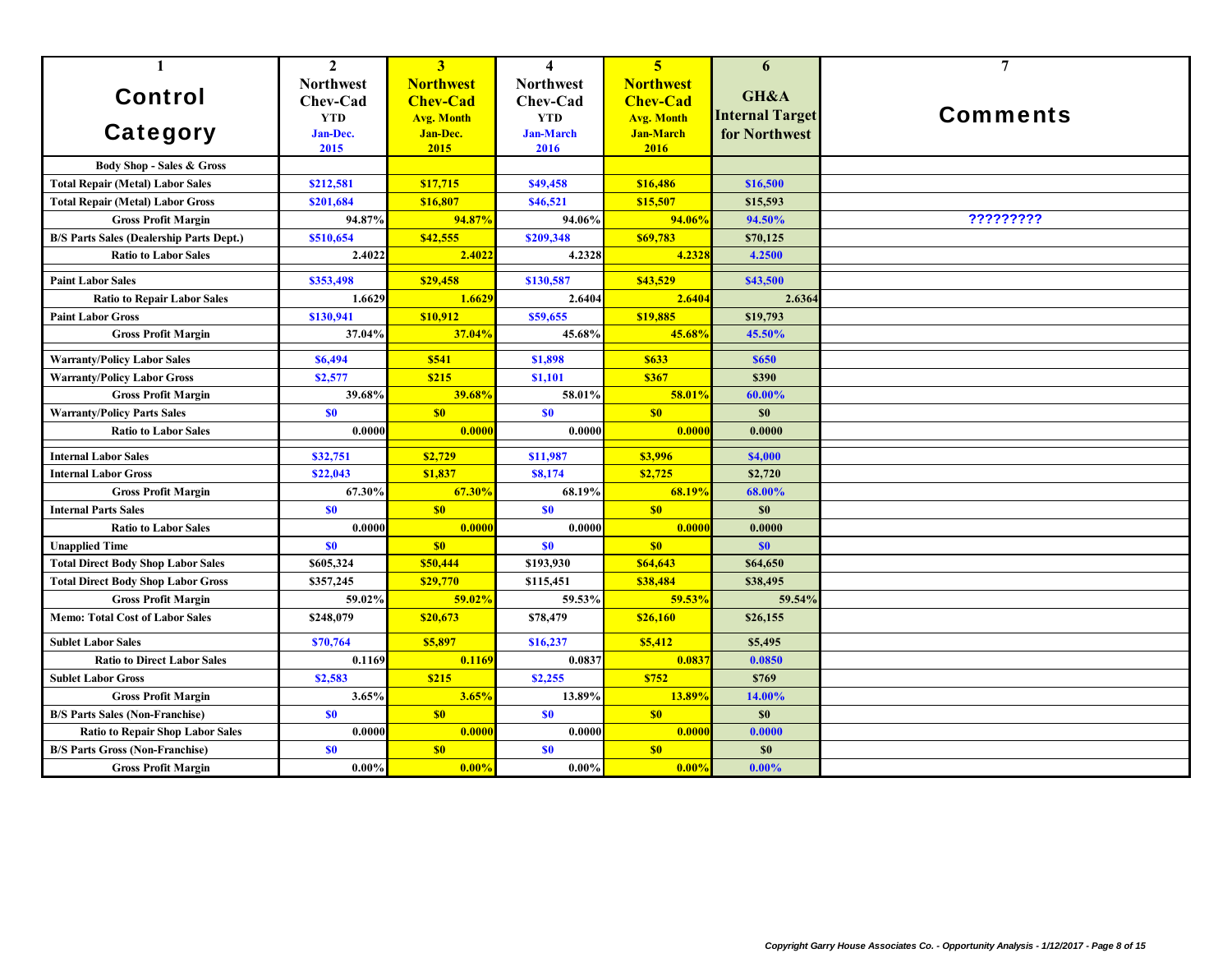| $\mathbf{1}$                                    | $\mathbf{2}$     | 3 <sup>1</sup>    | $\overline{\mathbf{4}}$ | 5 <sup>5</sup>    | 6                      | $\overline{7}$  |
|-------------------------------------------------|------------------|-------------------|-------------------------|-------------------|------------------------|-----------------|
|                                                 | <b>Northwest</b> | <b>Northwest</b>  | <b>Northwest</b>        | <b>Northwest</b>  |                        |                 |
| <b>Control</b>                                  | Chev-Cad         | <b>Chev-Cad</b>   | Chev-Cad                | <b>Chev-Cad</b>   | GH&A                   |                 |
|                                                 | <b>YTD</b>       | <b>Avg. Month</b> | <b>YTD</b>              | <b>Avg. Month</b> | <b>Internal Target</b> | <b>Comments</b> |
| <b>Category</b>                                 | Jan-Dec.         | Jan-Dec.          | <b>Jan-March</b>        | <b>Jan-March</b>  | for Northwest          |                 |
|                                                 | 2015             | 2015              | 2016                    | 2016              |                        |                 |
| <b>Body Shop - Sales &amp; Gross</b>            |                  |                   |                         |                   |                        |                 |
| <b>Total Repair (Metal) Labor Sales</b>         | \$212,581        | \$17,715          | \$49,458                | \$16,486          | \$16,500               |                 |
| <b>Total Repair (Metal) Labor Gross</b>         | \$201,684        | \$16,807          | \$46,521                | \$15,507          | \$15,593               |                 |
| <b>Gross Profit Margin</b>                      | 94.87%           | 94.87%            | 94.06%                  | 94.06%            | 94.50%                 | ?????????       |
| <b>B/S Parts Sales (Dealership Parts Dept.)</b> | \$510,654        | \$42,555          | \$209,348               | \$69,783          | \$70,125               |                 |
| <b>Ratio to Labor Sales</b>                     | 2.4022           | 2.4022            | 4.2328                  | 4.232             | 4.2500                 |                 |
| <b>Paint Labor Sales</b>                        | \$353,498        | \$29,458          | \$130,587               | \$43,529          | \$43,500               |                 |
| <b>Ratio to Repair Labor Sales</b>              | 1.6629           | 1.6629            | 2.6404                  | 2.6404            | 2.6364                 |                 |
| <b>Paint Labor Gross</b>                        | \$130,941        | \$10.912          | \$59,655                | \$19,885          | \$19,793               |                 |
| <b>Gross Profit Margin</b>                      | 37.04%           | 37.04%            | 45.68%                  | 45.68%            | 45.50%                 |                 |
| <b>Warranty/Policy Labor Sales</b>              | \$6,494          | \$541             | \$1,898                 | \$633             | <b>\$650</b>           |                 |
| <b>Warranty/Policy Labor Gross</b>              | \$2,577          | \$215             | \$1,101                 | \$367             | \$390                  |                 |
| <b>Gross Profit Margin</b>                      | 39.68%           | 39.68%            | 58.01%                  | 58.01%            | 60.00%                 |                 |
| <b>Warranty/Policy Parts Sales</b>              | \$0              | \$0               | \$0                     | \$0               | \$0                    |                 |
| <b>Ratio to Labor Sales</b>                     | 0.0000           | 0.0000            | 0.0000                  | 0.000             | 0.0000                 |                 |
| <b>Internal Labor Sales</b>                     | \$32,751         | \$2,729           | \$11,987                | \$3,996           | \$4,000                |                 |
| <b>Internal Labor Gross</b>                     | \$22,043         | \$1,837           | \$8,174                 | \$2,725           | \$2,720                |                 |
| <b>Gross Profit Margin</b>                      | 67.30%           | 67.30%            | 68.19%                  | 68.19%            | 68.00%                 |                 |
| <b>Internal Parts Sales</b>                     | \$0              | \$0\$             | \$0                     | \$0               | \$0                    |                 |
| <b>Ratio to Labor Sales</b>                     | 0.0000           | 0.0000            | 0.0000                  | 0.000(            | 0.0000                 |                 |
| <b>Unapplied Time</b>                           | S <sub>0</sub>   | \$0               | \$0                     | \$0               | \$0                    |                 |
| <b>Total Direct Body Shop Labor Sales</b>       | \$605,324        | \$50,444          | \$193,930               | \$64,643          | \$64,650               |                 |
| <b>Total Direct Body Shop Labor Gross</b>       | \$357,245        | \$29,770          | \$115,451               | \$38,484          | \$38,495               |                 |
| <b>Gross Profit Margin</b>                      | 59.02%           | 59.02%            | 59.53%                  | 59.53%            | 59.54%                 |                 |
| <b>Memo: Total Cost of Labor Sales</b>          | \$248,079        | \$20,673          | \$78,479                | \$26,160          | \$26,155               |                 |
| <b>Sublet Labor Sales</b>                       | \$70,764         | \$5,897           | \$16,237                | \$5,412           | \$5,495                |                 |
| <b>Ratio to Direct Labor Sales</b>              | 0.1169           | 0.1169            | 0.0837                  | 0.083             | 0.0850                 |                 |
| <b>Sublet Labor Gross</b>                       | \$2,583          | \$215             | \$2,255                 | \$752             | \$769                  |                 |
| <b>Gross Profit Margin</b>                      | 3.65%            | 3.65%             | 13.89%                  | 13.89%            | 14.00%                 |                 |
| <b>B/S Parts Sales (Non-Franchise)</b>          | \$0              | S <sub>0</sub>    | \$0                     | \$0               | \$0                    |                 |
| <b>Ratio to Repair Shop Labor Sales</b>         | 0.0000           | 0.0000            | 0.0000                  | 0.0000            | 0.0000                 |                 |
| <b>B/S Parts Gross (Non-Franchise)</b>          | \$0              | S <sub>0</sub>    | <b>SO</b>               | \$0               | \$0                    |                 |
| <b>Gross Profit Margin</b>                      | $0.00\%$         | 0.00%             | $0.00\%$                | 0.00%             | $0.00\%$               |                 |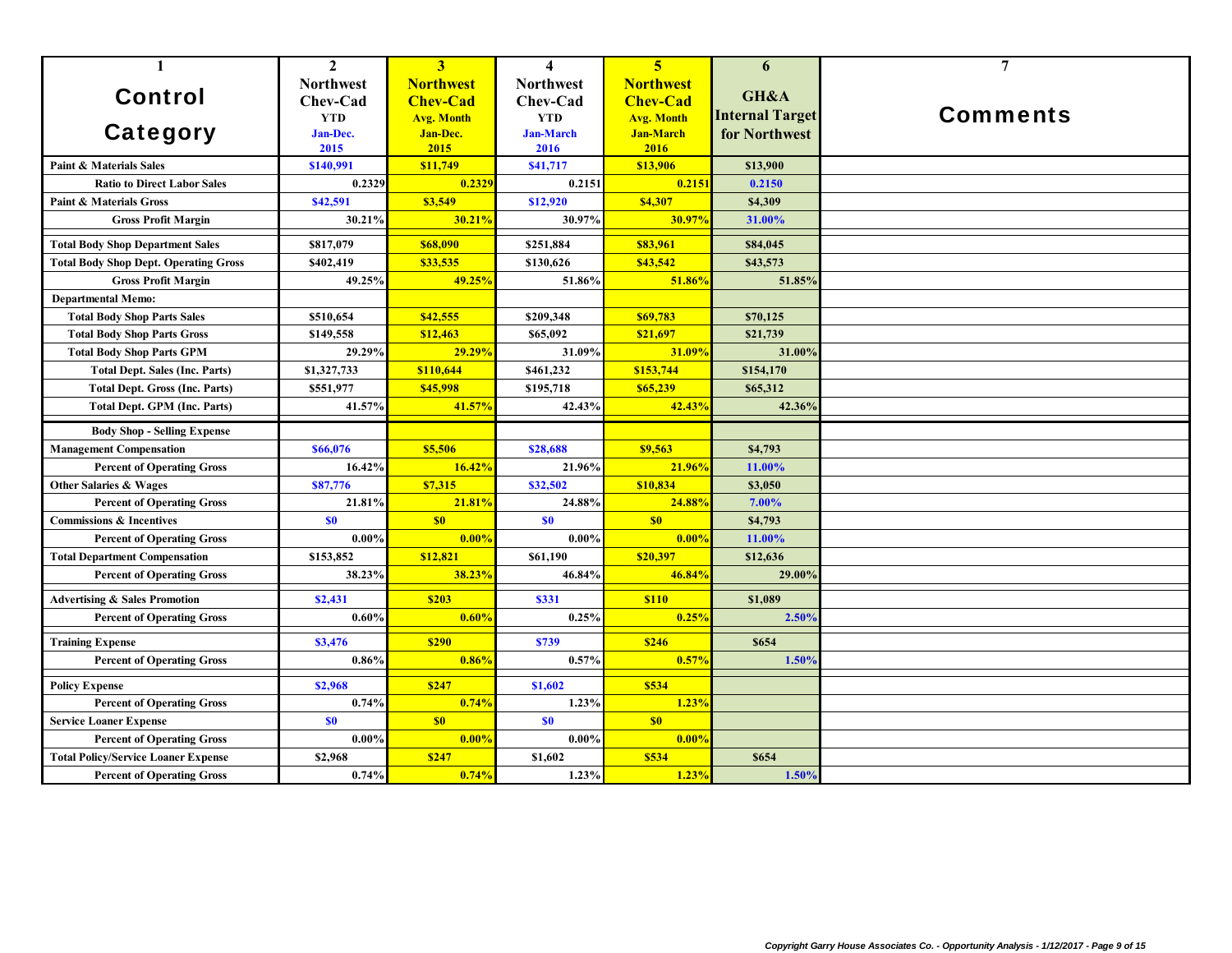| $\mathbf{1}$                                 | $\overline{2}$   | 3 <sup>1</sup>    | $\overline{\mathbf{4}}$ | 5 <sup>5</sup>    | 6                      | $\overline{7}$  |
|----------------------------------------------|------------------|-------------------|-------------------------|-------------------|------------------------|-----------------|
|                                              | <b>Northwest</b> | <b>Northwest</b>  | <b>Northwest</b>        | <b>Northwest</b>  |                        |                 |
| <b>Control</b>                               | Chev-Cad         | <b>Chev-Cad</b>   | Chev-Cad                | <b>Chev-Cad</b>   | GH&A                   |                 |
|                                              | <b>YTD</b>       | <b>Avg. Month</b> | <b>YTD</b>              | <b>Avg. Month</b> | <b>Internal Target</b> | <b>Comments</b> |
| <b>Category</b>                              | Jan-Dec.         | Jan-Dec.          | <b>Jan-March</b>        | <b>Jan-March</b>  | for Northwest          |                 |
|                                              | 2015             | 2015              | 2016                    | 2016              |                        |                 |
| <b>Paint &amp; Materials Sales</b>           | \$140,991        | \$11,749          | \$41,717                | \$13,906          | \$13,900               |                 |
| <b>Ratio to Direct Labor Sales</b>           | 0.2329           | 0.2329            | 0.2151                  | 0.215             | 0.2150                 |                 |
| <b>Paint &amp; Materials Gross</b>           | \$42,591         | \$3,549           | \$12,920                | \$4,307           | \$4.309                |                 |
| <b>Gross Profit Margin</b>                   | 30.21%           | 30.21%            | 30.97%                  | 30.97%            | 31.00%                 |                 |
| <b>Total Body Shop Department Sales</b>      | \$817,079        | \$68,090          | \$251,884               | \$83,961          | \$84,045               |                 |
| <b>Total Body Shop Dept. Operating Gross</b> | \$402,419        | \$33,535          | \$130,626               | \$43,542          | \$43,573               |                 |
| <b>Gross Profit Margin</b>                   | 49.25%           | 49.25%            | 51.86%                  | 51.86%            | 51.85%                 |                 |
| <b>Departmental Memo:</b>                    |                  |                   |                         |                   |                        |                 |
| <b>Total Body Shop Parts Sales</b>           | \$510,654        | \$42,555          | \$209,348               | \$69,783          | \$70,125               |                 |
| <b>Total Body Shop Parts Gross</b>           | \$149,558        | \$12,463          | \$65,092                | \$21,697          | \$21,739               |                 |
| <b>Total Body Shop Parts GPM</b>             | 29.29%           | 29.29%            | 31.09%                  | 31.09%            | 31.00%                 |                 |
| <b>Total Dept. Sales (Inc. Parts)</b>        | \$1,327,733      | \$110,644         | \$461,232               | \$153,744         | \$154,170              |                 |
| <b>Total Dept. Gross (Inc. Parts)</b>        | \$551,977        | \$45,998          | \$195,718               | \$65,239          | \$65,312               |                 |
| <b>Total Dept. GPM (Inc. Parts)</b>          | 41.57%           | 41.57%            | 42.43%                  | 42.43%            | 42.36%                 |                 |
| <b>Body Shop - Selling Expense</b>           |                  |                   |                         |                   |                        |                 |
| <b>Management Compensation</b>               | \$66,076         | \$5,506           | \$28,688                | \$9,563           | \$4,793                |                 |
| <b>Percent of Operating Gross</b>            | 16.42%           | 16.42%            | 21.96%                  | 21.96%            | 11.00%                 |                 |
| <b>Other Salaries &amp; Wages</b>            | \$87,776         | \$7,315           | \$32,502                | \$10,834          | \$3,050                |                 |
| <b>Percent of Operating Gross</b>            | 21.81%           | 21.81%            | 24.88%                  | 24.88%            | 7.00%                  |                 |
| <b>Commissions &amp; Incentives</b>          | \$0              | \$0               | \$0                     | \$0               | \$4,793                |                 |
| <b>Percent of Operating Gross</b>            | $0.00\%$         | 0.00%             | $0.00\%$                | 0.00%             | 11.00%                 |                 |
| <b>Total Department Compensation</b>         | \$153,852        | \$12,821          | \$61,190                | \$20,397          | \$12,636               |                 |
| <b>Percent of Operating Gross</b>            | 38.23%           | 38.23%            | 46.84%                  | 46.84%            | 29.00%                 |                 |
| <b>Advertising &amp; Sales Promotion</b>     | \$2,431          | \$203             | \$331                   | <b>\$110</b>      | \$1,089                |                 |
| <b>Percent of Operating Gross</b>            | 0.60%            | 0.60%             | 0.25%                   | 0.25%             | 2.50%                  |                 |
| <b>Training Expense</b>                      | \$3,476          | <b>\$290</b>      | \$739                   | <b>\$246</b>      | \$654                  |                 |
| <b>Percent of Operating Gross</b>            | 0.86%            | 0.86%             | 0.57%                   | 0.57%             | 1.50%                  |                 |
| <b>Policy Expense</b>                        | \$2,968          | \$247             | \$1,602                 | \$534             |                        |                 |
| <b>Percent of Operating Gross</b>            | 0.74%            | 0.74%             | 1.23%                   | 1.23%             |                        |                 |
| <b>Service Loaner Expense</b>                | \$0              | \$0               | <b>SO</b>               | \$0               |                        |                 |
| <b>Percent of Operating Gross</b>            | $0.00\%$         | 0.00%             | 0.00%                   | 0.00%             |                        |                 |
| <b>Total Policy/Service Loaner Expense</b>   | \$2,968          | \$247             | \$1,602                 | \$534             | \$654                  |                 |
| <b>Percent of Operating Gross</b>            | 0.74%            | 0.74%             | 1.23%                   | 1.23%             | 1.50%                  |                 |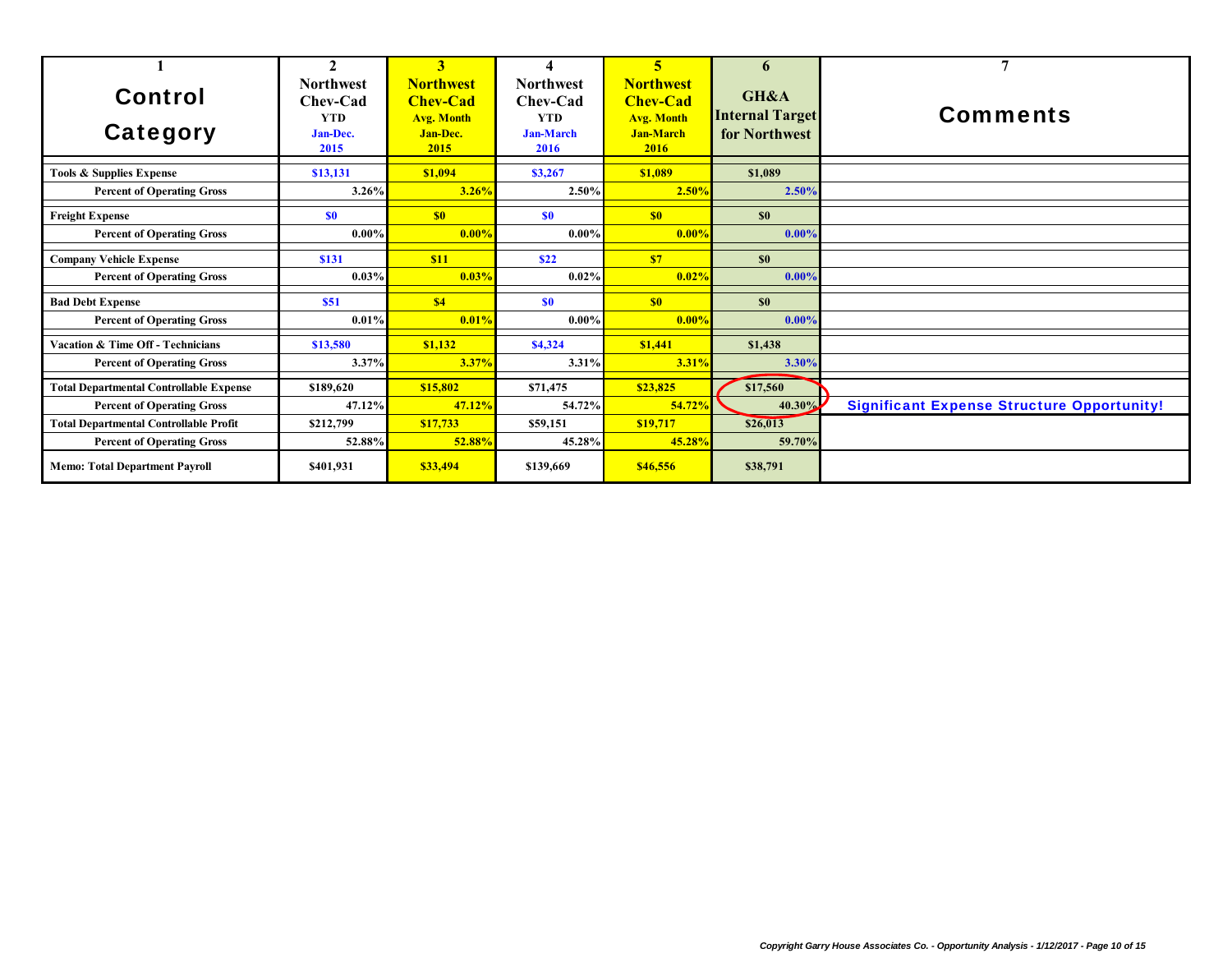|                                                |                                | $\overline{\mathbf{3}}$               | 4                                      | 5                                             | n                                       |                                                   |
|------------------------------------------------|--------------------------------|---------------------------------------|----------------------------------------|-----------------------------------------------|-----------------------------------------|---------------------------------------------------|
| <b>Control</b>                                 | <b>Northwest</b><br>Chev-Cad   | <b>Northwest</b><br><b>Chev-Cad</b>   | <b>Northwest</b><br>Chev-Cad           | <b>Northwest</b><br><b>Chev-Cad</b>           | GH&A                                    | <b>Comments</b>                                   |
| Category                                       | <b>YTD</b><br>Jan-Dec.<br>2015 | <b>Avg. Month</b><br>Jan-Dec.<br>2015 | <b>YTD</b><br><b>Jan-March</b><br>2016 | <b>Avg. Month</b><br><b>Jan-March</b><br>2016 | <b>Internal Target</b><br>for Northwest |                                                   |
| <b>Tools &amp; Supplies Expense</b>            | \$13,131                       | \$1,094                               | \$3,267                                | \$1.089                                       | \$1,089                                 |                                                   |
| <b>Percent of Operating Gross</b>              | 3.26%                          | 3.26%                                 | $2.50\%$                               | 2.50%                                         | 2.50%                                   |                                                   |
| <b>Freight Expense</b>                         | <b>SO</b>                      | S <sub>0</sub>                        | \$0                                    | S <sub>0</sub>                                | \$0                                     |                                                   |
| <b>Percent of Operating Gross</b>              | $0.00\%$                       | 0.00%                                 | $0.00\%$                               | $0.00\%$                                      | 0.00%                                   |                                                   |
| <b>Company Vehicle Expense</b>                 | \$131                          | \$11                                  | <b>S22</b>                             | \$7                                           | \$0                                     |                                                   |
| <b>Percent of Operating Gross</b>              | 0.03%                          | 0.03%                                 | $0.02\%$                               | $0.02\%$                                      | $0.00\%$                                |                                                   |
| <b>Bad Debt Expense</b>                        | <b>\$51</b>                    | \$4                                   | <b>SO</b>                              | S <sub>0</sub>                                | \$0                                     |                                                   |
| <b>Percent of Operating Gross</b>              | 0.01%                          | 0.01%                                 | $0.00\%$                               | $0.00\%$                                      | 0.00%                                   |                                                   |
| <b>Vacation &amp; Time Off - Technicians</b>   | \$13,580                       | \$1,132                               | \$4,324                                | \$1,441                                       | \$1,438                                 |                                                   |
| <b>Percent of Operating Gross</b>              | 3.37%                          | 3.37%                                 | 3.31%                                  | $3.31\%$                                      | 3.30%                                   |                                                   |
| <b>Total Departmental Controllable Expense</b> | \$189,620                      | \$15,802                              | \$71,475                               | \$23,825                                      | \$17,560                                |                                                   |
| <b>Percent of Operating Gross</b>              | 47.12%                         | 47.12%                                | 54.72%                                 | 54.72%                                        | 40.30%                                  | <b>Significant Expense Structure Opportunity!</b> |
| <b>Total Departmental Controllable Profit</b>  | \$212,799                      | \$17,733                              | \$59,151                               | \$19,717                                      | \$26,013                                |                                                   |
| <b>Percent of Operating Gross</b>              | 52.88%                         | 52.88%                                | 45.28%                                 | 45.28%                                        | 59.70%                                  |                                                   |
| <b>Memo: Total Department Payroll</b>          | \$401.931                      | \$33,494                              | \$139,669                              | \$46,556                                      | \$38,791                                |                                                   |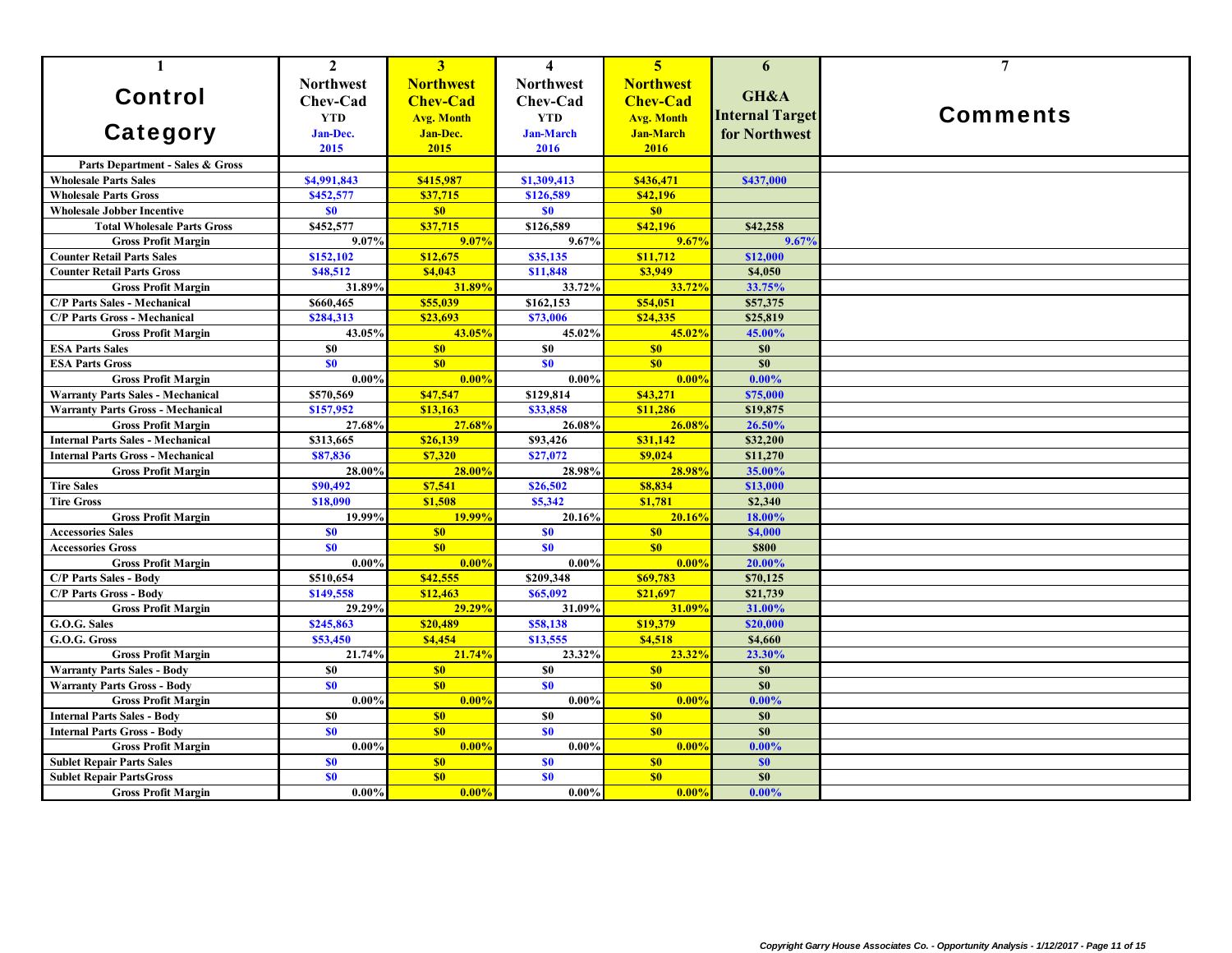| $\mathbf{1}$                             | $\mathbf{2}$     | $\overline{3}$    | $\overline{\mathbf{4}}$ | $\overline{5}$    | 6                      | $\overline{7}$  |
|------------------------------------------|------------------|-------------------|-------------------------|-------------------|------------------------|-----------------|
|                                          | <b>Northwest</b> | <b>Northwest</b>  | <b>Northwest</b>        | <b>Northwest</b>  | GH&A                   |                 |
| <b>Control</b>                           | Chev-Cad         | <b>Chev-Cad</b>   | Chev-Cad                | <b>Chev-Cad</b>   |                        |                 |
|                                          | <b>YTD</b>       | <b>Avg. Month</b> | <b>YTD</b>              | <b>Avg. Month</b> | <b>Internal Target</b> | <b>Comments</b> |
| <b>Category</b>                          | <b>Jan-Dec.</b>  | Jan-Dec.          | <b>Jan-March</b>        | <b>Jan-March</b>  | for Northwest          |                 |
|                                          | 2015             | 2015              | 2016                    | 2016              |                        |                 |
| Parts Department - Sales & Gross         |                  |                   |                         |                   |                        |                 |
| <b>Wholesale Parts Sales</b>             | \$4,991,843      | \$415,987         | \$1,309,413             | \$436,471         | \$437,000              |                 |
| <b>Wholesale Parts Gross</b>             | \$452,577        | \$37,715          | \$126,589               | \$42,196          |                        |                 |
| <b>Wholesale Jobber Incentive</b>        | \$0              | \$0               | \$0                     | \$0               |                        |                 |
| <b>Total Wholesale Parts Gross</b>       | \$452,577        | \$37,715          | \$126,589               | \$42,196          | \$42,258               |                 |
| <b>Gross Profit Margin</b>               | 9.07%            | 9.07%             | 9.67%                   | 9.67%             | 9.67%                  |                 |
| <b>Counter Retail Parts Sales</b>        | \$152,102        | \$12,675          | \$35,135                | \$11,712          | \$12,000               |                 |
| <b>Counter Retail Parts Gross</b>        | \$48,512         | \$4,043           | \$11,848                | \$3,949           | \$4,050                |                 |
| <b>Gross Profit Margin</b>               | 31.89%           | 31.89%            | 33.72%                  | 33.72%            | 33.75%                 |                 |
| <b>C/P Parts Sales - Mechanical</b>      | \$660,465        | \$55,039          | \$162,153               | \$54,051          | \$57,375               |                 |
| <b>C/P Parts Gross - Mechanical</b>      | \$284,313        | \$23,693          | \$73,006                | \$24,335          | \$25,819               |                 |
| <b>Gross Profit Margin</b>               | 43.05%           | 43.05%            | 45.02%                  | 45.02%            | 45.00%                 |                 |
| <b>ESA Parts Sales</b>                   | <b>SO</b>        | \$0               | \$0                     | \$0               | \$0                    |                 |
| <b>ESA Parts Gross</b>                   | \$0              | \$0               | <b>SO</b>               | \$0               | \$0                    |                 |
| <b>Gross Profit Margin</b>               | $0.00\%$         | 0.00%             | $0.00\%$                | 0.00%             | 0.00%                  |                 |
| <b>Warranty Parts Sales - Mechanical</b> | \$570,569        | \$47,547          | \$129,814               | \$43,271          | \$75,000               |                 |
| <b>Warranty Parts Gross - Mechanical</b> | \$157,952        | \$13,163          | \$33,858                | \$11,286          | \$19,875               |                 |
| <b>Gross Profit Margin</b>               | 27.68%           | 27.68%            | 26.08%                  | <b>26.08%</b>     | 26.50%                 |                 |
| <b>Internal Parts Sales - Mechanical</b> | \$313,665        | \$26,139          | \$93,426                | \$31,142          | \$32,200               |                 |
| <b>Internal Parts Gross - Mechanical</b> | \$87,836         | \$7,320           | \$27,072                | \$9,024           | \$11,270               |                 |
| <b>Gross Profit Margin</b>               | 28.00%           | 28.00%            | 28.98%                  | 28.98%            | 35.00%                 |                 |
| <b>Tire Sales</b>                        | \$90,492         | \$7,541           | \$26,502                | \$8,834           | \$13,000               |                 |
| <b>Tire Gross</b>                        | \$18,090         | \$1,508           | \$5,342                 | \$1,781           | \$2,340                |                 |
| <b>Gross Profit Margin</b>               | 19.99%           | 19.99%            | 20.16%                  | 20.16%            | 18.00%                 |                 |
| <b>Accessories Sales</b>                 | \$0              | \$0               | S <sub>0</sub>          | S <sub>0</sub>    | \$4,000                |                 |
| <b>Accessories Gross</b>                 | \$0\$            | \$0               | \$0\$                   | \$0               | <b>\$800</b>           |                 |
| <b>Gross Profit Margin</b>               | $0.00\%$         | $0.00\%$          | $0.00\%$                | 0.00%             | 20.00%                 |                 |
| <b>C/P Parts Sales - Body</b>            | \$510,654        | \$42,555          | \$209,348               | \$69,783          | \$70,125               |                 |
| <b>C/P Parts Gross - Body</b>            | \$149,558        | \$12,463          | \$65,092                | \$21,697          | \$21,739               |                 |
| <b>Gross Profit Margin</b>               | 29.29%           | 29.29%            | 31.09%                  | 31.09%            | 31.00%                 |                 |
| G.O.G. Sales                             | \$245,863        | \$20,489          | \$58,138                | \$19,379          | \$20,000               |                 |
| G.O.G. Gross                             | \$53,450         | \$4,454           | \$13,555                | \$4,518           | \$4,660                |                 |
| <b>Gross Profit Margin</b>               | 21.74%           | 21.74%            | 23.32%                  | 23.32%            | 23.30%                 |                 |
| <b>Warranty Parts Sales - Body</b>       | <b>SO</b>        | S <sub>0</sub>    | \$0                     | \$0               | \$0                    |                 |
| <b>Warranty Parts Gross - Body</b>       | \$0              | \$0               | <b>SO</b>               | \$0               | \$0                    |                 |
| <b>Gross Profit Margin</b>               | 0.00%            | 0.00%             | 0.00%                   | 0.00%             | 0.00%                  |                 |
| <b>Internal Parts Sales - Body</b>       | \$0              | \$0               | \$0                     | \$0               | \$0                    |                 |
| <b>Internal Parts Gross - Body</b>       | \$0              | \$0               | \$0                     | \$0               | \$0                    |                 |
| <b>Gross Profit Margin</b>               | 0.00%            | 0.00%             | $0.00\%$                | 0.00%             | 0.00%                  |                 |
| <b>Sublet Repair Parts Sales</b>         | \$0              | \$0               | S <sub>0</sub>          | \$0               | \$0                    |                 |
| <b>Sublet Repair PartsGross</b>          | \$0              | \$0               | \$0\$                   | \$0               | \$0\$                  |                 |
| <b>Gross Profit Margin</b>               | $0.00\%$         | 0.00%             | $0.00\%$                | 0.00%             | $0.00\%$               |                 |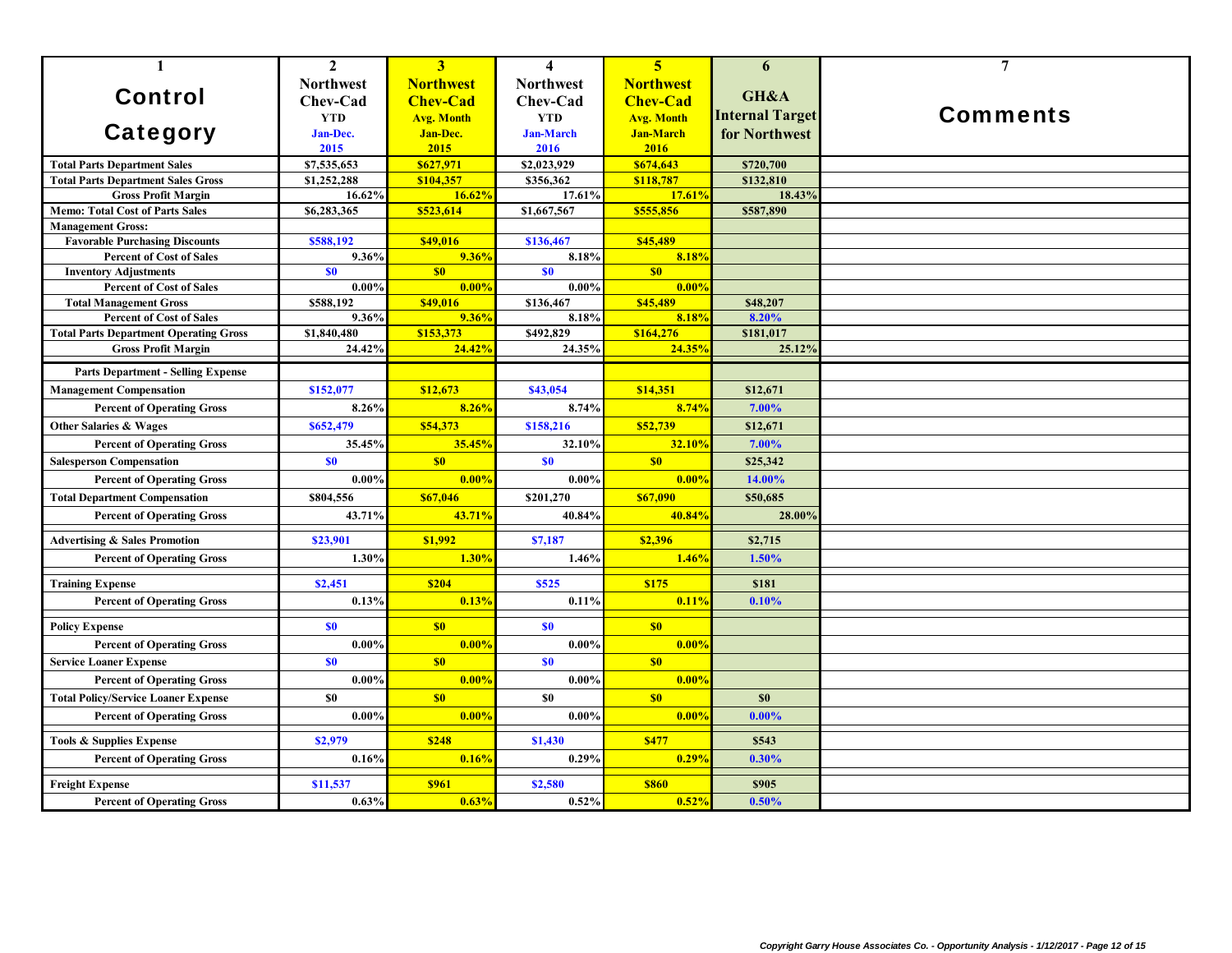| $\mathbf{1}$                                                             | $\overline{2}$   | 3 <sup>1</sup>    | $\overline{\mathbf{4}}$ | $\overline{5}$    | 6                      | $\overline{7}$  |
|--------------------------------------------------------------------------|------------------|-------------------|-------------------------|-------------------|------------------------|-----------------|
|                                                                          | <b>Northwest</b> | <b>Northwest</b>  | <b>Northwest</b>        | <b>Northwest</b>  |                        |                 |
| <b>Control</b>                                                           | Chev-Cad         | <b>Chev-Cad</b>   | Chev-Cad                | <b>Chev-Cad</b>   | GH&A                   |                 |
|                                                                          | <b>YTD</b>       | <b>Avg. Month</b> | <b>YTD</b>              | <b>Avg. Month</b> | <b>Internal Target</b> | <b>Comments</b> |
| <b>Category</b>                                                          | Jan-Dec.         | <b>Jan-Dec.</b>   | <b>Jan-March</b>        | <b>Jan-March</b>  | for Northwest          |                 |
|                                                                          | 2015             | 2015              | 2016                    | 2016              |                        |                 |
| <b>Total Parts Department Sales</b>                                      | \$7,535,653      | \$627,971         | \$2,023,929             | \$674,643         | \$720,700              |                 |
| <b>Total Parts Department Sales Gross</b>                                | \$1,252,288      | \$104,357         | \$356,362               | \$118,787         | \$132,810              |                 |
| <b>Gross Profit Margin</b>                                               | 16.62%           | 16.62%            | 17.61%                  | 17.61%            | 18.43%                 |                 |
| <b>Memo: Total Cost of Parts Sales</b>                                   | \$6,283,365      | \$523,614         | \$1,667,567             | \$555,856         | \$587,890              |                 |
| <b>Management Gross:</b>                                                 | \$588,192        | \$49,016          | \$136,467               | \$45,489          |                        |                 |
| <b>Favorable Purchasing Discounts</b><br><b>Percent of Cost of Sales</b> | 9.36%            | 9.36%             | 8.18%                   | 8.18%             |                        |                 |
| <b>Inventory Adjustments</b>                                             | \$0              | S <sub>0</sub>    | S <sub>0</sub>          | \$0               |                        |                 |
| <b>Percent of Cost of Sales</b>                                          | 0.00%            | 0.00%             | $0.00\%$                | 0.00%             |                        |                 |
| <b>Total Management Gross</b>                                            | \$588,192        | \$49,016          | \$136,467               | \$45,489          | \$48,207               |                 |
| <b>Percent of Cost of Sales</b>                                          | 9.36%            | 9.36%             | 8.18%                   | 8.18%             | 8.20%                  |                 |
| <b>Total Parts Department Operating Gross</b>                            | \$1,840,480      | \$153,373         | \$492,829               | \$164,276         | \$181,017              |                 |
| <b>Gross Profit Margin</b>                                               | 24.42%           | 24.42%            | 24.35%                  | 24.35%            | 25.12%                 |                 |
| <b>Parts Department - Selling Expense</b>                                |                  |                   |                         |                   |                        |                 |
| <b>Management Compensation</b>                                           | \$152,077        | \$12,673          | \$43,054                | \$14,351          | \$12,671               |                 |
| <b>Percent of Operating Gross</b>                                        | 8.26%            | 8.26%             | 8.74%                   | 8.74%             | 7.00%                  |                 |
| <b>Other Salaries &amp; Wages</b>                                        | \$652,479        | \$54,373          | \$158,216               | \$52,739          | \$12,671               |                 |
| <b>Percent of Operating Gross</b>                                        | 35.45%           | 35.45%            | 32.10%                  | 32.10%            | 7.00%                  |                 |
| <b>Salesperson Compensation</b>                                          | \$0              | \$0               | S <sub>0</sub>          | \$0               | \$25,342               |                 |
| <b>Percent of Operating Gross</b>                                        | $0.00\%$         | 0.00%             | $0.00\%$                | 0.00%             | 14.00%                 |                 |
| <b>Total Department Compensation</b>                                     | \$804,556        | \$67,046          | \$201,270               | \$67,090          | \$50,685               |                 |
| <b>Percent of Operating Gross</b>                                        | 43.71%           | 43.71%            | 40.84%                  | 40.84%            | 28.00%                 |                 |
| <b>Advertising &amp; Sales Promotion</b>                                 | \$23,901         | \$1,992           | \$7,187                 | \$2,396           | \$2,715                |                 |
| <b>Percent of Operating Gross</b>                                        | 1.30%            | 1.30%             | 1.46%                   | 1.46%             | 1.50%                  |                 |
| <b>Training Expense</b>                                                  | \$2,451          | \$204             | \$525                   | \$175             | \$181                  |                 |
| <b>Percent of Operating Gross</b>                                        | 0.13%            | 0.13%             | 0.11%                   | 0.11%             | 0.10%                  |                 |
| <b>Policy Expense</b>                                                    | \$0              | S <sub>0</sub>    | \$0                     | \$0               |                        |                 |
| <b>Percent of Operating Gross</b>                                        | $0.00\%$         | 0.00%             | $0.00\%$                | 0.00%             |                        |                 |
| <b>Service Loaner Expense</b>                                            | \$0              | \$0               | S <sub>0</sub>          | \$0               |                        |                 |
| <b>Percent of Operating Gross</b>                                        | $0.00\%$         | 0.00%             | 0.00%                   | 0.00%             |                        |                 |
| <b>Total Policy/Service Loaner Expense</b>                               | S <sub>0</sub>   | \$0               | \$0                     | \$0               | \$0                    |                 |
| <b>Percent of Operating Gross</b>                                        | $0.00\%$         | 0.00%             | $0.00\%$                | 0.00%             | $0.00\%$               |                 |
|                                                                          | \$2,979          | \$248             | \$1,430                 | \$477             | \$543                  |                 |
| Tools & Supplies Expense<br><b>Percent of Operating Gross</b>            | 0.16%            | 0.16%             | 0.29%                   | 0.29%             | 0.30%                  |                 |
|                                                                          |                  |                   |                         |                   |                        |                 |
| <b>Freight Expense</b>                                                   | \$11,537         | <b>\$961</b>      | \$2,580                 | <b>\$860</b>      | \$905                  |                 |
| <b>Percent of Operating Gross</b>                                        | 0.63%            | 0.63%             | 0.52%                   | 0.52%             | 0.50%                  |                 |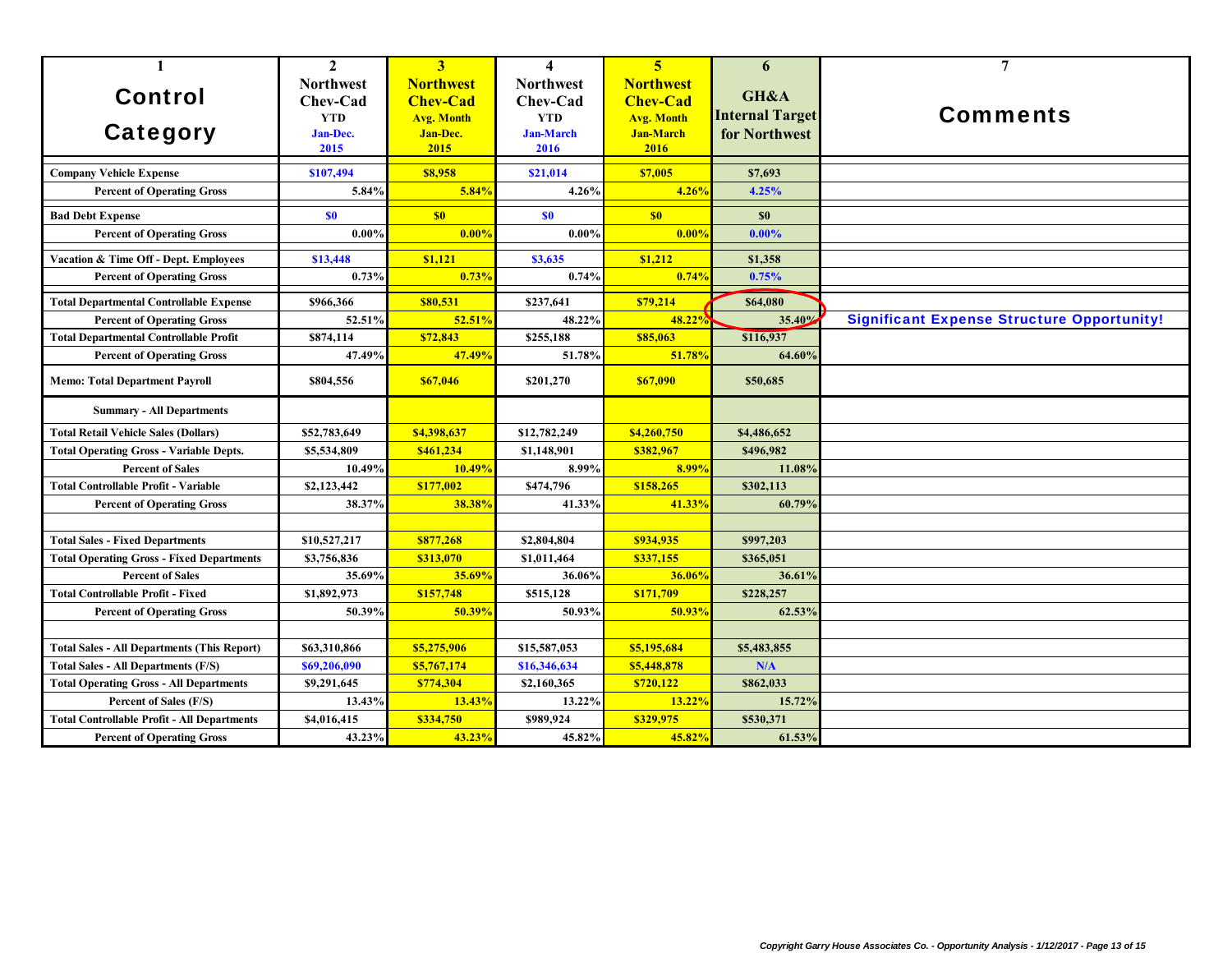| $\mathbf{1}$                                                                  | $\mathbf{2}$                                                          | 3                                                                            | $\overline{\mathbf{4}}$                                                | $\overline{\mathbf{5}}$                                                              | 6                                               | $\overline{7}$                                    |
|-------------------------------------------------------------------------------|-----------------------------------------------------------------------|------------------------------------------------------------------------------|------------------------------------------------------------------------|--------------------------------------------------------------------------------------|-------------------------------------------------|---------------------------------------------------|
| <b>Control</b><br>Category                                                    | <b>Northwest</b><br>Chev-Cad<br><b>YTD</b><br><b>Jan-Dec.</b><br>2015 | <b>Northwest</b><br><b>Chev-Cad</b><br><b>Avg. Month</b><br>Jan-Dec.<br>2015 | <b>Northwest</b><br>Chev-Cad<br><b>YTD</b><br><b>Jan-March</b><br>2016 | <b>Northwest</b><br><b>Chev-Cad</b><br><b>Avg. Month</b><br><b>Jan-March</b><br>2016 | GH&A<br><b>Internal Target</b><br>for Northwest | <b>Comments</b>                                   |
| <b>Company Vehicle Expense</b>                                                | \$107,494                                                             | \$8,958                                                                      | \$21.014                                                               | \$7,005                                                                              | \$7,693                                         |                                                   |
| <b>Percent of Operating Gross</b>                                             | 5.84%                                                                 | 5.84%                                                                        | 4.26%                                                                  | 4.26%                                                                                | 4.25%                                           |                                                   |
| <b>Bad Debt Expense</b>                                                       | \$0                                                                   | $\sqrt{50}$                                                                  | \$0                                                                    | S <sub>0</sub>                                                                       | \$0                                             |                                                   |
| <b>Percent of Operating Gross</b>                                             | $0.00\%$                                                              | 0.00%                                                                        | 0.00%                                                                  | 0.00%                                                                                | $0.00\%$                                        |                                                   |
| Vacation & Time Off - Dept. Employees                                         | \$13,448                                                              | \$1,121                                                                      | \$3,635                                                                | \$1,212                                                                              | \$1,358                                         |                                                   |
| <b>Percent of Operating Gross</b>                                             | 0.73%                                                                 | 0.73%                                                                        | 0.74%                                                                  | 0.74%                                                                                | 0.75%                                           |                                                   |
| <b>Total Departmental Controllable Expense</b>                                | \$966,366                                                             | \$80,531                                                                     | \$237.641                                                              | \$79,214                                                                             | \$64,080                                        |                                                   |
| <b>Percent of Operating Gross</b>                                             | 52.51%                                                                | 52.51%                                                                       | 48.22%                                                                 | 48.22%                                                                               | 35.40%                                          | <b>Significant Expense Structure Opportunity!</b> |
| <b>Total Departmental Controllable Profit</b>                                 | \$874,114                                                             | \$72,843                                                                     | \$255,188                                                              | \$85,063                                                                             | \$116,937                                       |                                                   |
| <b>Percent of Operating Gross</b>                                             | 47.49%                                                                | 47.49%                                                                       | 51.78%                                                                 | 51.78%                                                                               | 64.60%                                          |                                                   |
| <b>Memo: Total Department Payroll</b>                                         | \$804,556                                                             | \$67,046                                                                     | \$201,270                                                              | \$67,090                                                                             | \$50,685                                        |                                                   |
| <b>Summary - All Departments</b>                                              |                                                                       |                                                                              |                                                                        |                                                                                      |                                                 |                                                   |
| <b>Total Retail Vehicle Sales (Dollars)</b>                                   | \$52,783,649                                                          | \$4,398,637                                                                  | \$12,782,249                                                           | \$4,260,750                                                                          | \$4,486,652                                     |                                                   |
| <b>Total Operating Gross - Variable Depts.</b>                                | \$5,534,809                                                           | \$461,234                                                                    | \$1,148,901                                                            | \$382,967                                                                            | \$496,982                                       |                                                   |
| <b>Percent of Sales</b>                                                       | 10.49%                                                                | 10.49%                                                                       | 8.99%                                                                  | 8.99%                                                                                | 11.08%                                          |                                                   |
| <b>Total Controllable Profit - Variable</b>                                   | \$2,123,442                                                           | \$177,002                                                                    | \$474,796                                                              | \$158,265                                                                            | \$302,113                                       |                                                   |
| <b>Percent of Operating Gross</b>                                             | 38.37%                                                                | 38.38%                                                                       | 41.33%                                                                 | 41.33%                                                                               | 60.79%                                          |                                                   |
|                                                                               |                                                                       |                                                                              |                                                                        |                                                                                      |                                                 |                                                   |
| <b>Total Sales - Fixed Departments</b>                                        | \$10,527,217                                                          | \$877,268                                                                    | \$2,804,804                                                            | \$934,935                                                                            | \$997,203                                       |                                                   |
| <b>Total Operating Gross - Fixed Departments</b>                              | \$3,756,836                                                           | \$313,070                                                                    | \$1,011,464                                                            | \$337,155                                                                            | \$365,051                                       |                                                   |
| <b>Percent of Sales</b>                                                       | 35.69%                                                                | 35.69%<br>\$157,748                                                          | 36.06%                                                                 | 36.06%<br>\$171,709                                                                  | 36.61%                                          |                                                   |
| <b>Total Controllable Profit - Fixed</b><br><b>Percent of Operating Gross</b> | \$1,892,973<br>50.39%                                                 | 50.39%                                                                       | \$515,128<br>50.93%                                                    | 50.93%                                                                               | \$228,257<br>62.53%                             |                                                   |
|                                                                               |                                                                       |                                                                              |                                                                        |                                                                                      |                                                 |                                                   |
| <b>Total Sales - All Departments (This Report)</b>                            | \$63,310,866                                                          | \$5,275,906                                                                  | \$15,587,053                                                           | \$5,195,684                                                                          | \$5,483,855                                     |                                                   |
| <b>Total Sales - All Departments (F/S)</b>                                    | \$69,206,090                                                          | \$5,767,174                                                                  | \$16,346,634                                                           | \$5,448,878                                                                          | N/A                                             |                                                   |
| <b>Total Operating Gross - All Departments</b>                                | \$9,291,645                                                           | \$774,304                                                                    | \$2,160,365                                                            | \$720,122                                                                            | \$862,033                                       |                                                   |
| Percent of Sales (F/S)                                                        | 13.43%                                                                | 13.43%                                                                       | 13.22%                                                                 | 13.22%                                                                               | 15.72%                                          |                                                   |
| <b>Total Controllable Profit - All Departments</b>                            | \$4,016,415                                                           | \$334,750                                                                    | \$989,924                                                              | \$329,975                                                                            | \$530,371                                       |                                                   |
| <b>Percent of Operating Gross</b>                                             | 43.23%                                                                | 43.23%                                                                       | 45.82%                                                                 | 45.82%                                                                               | 61.53%                                          |                                                   |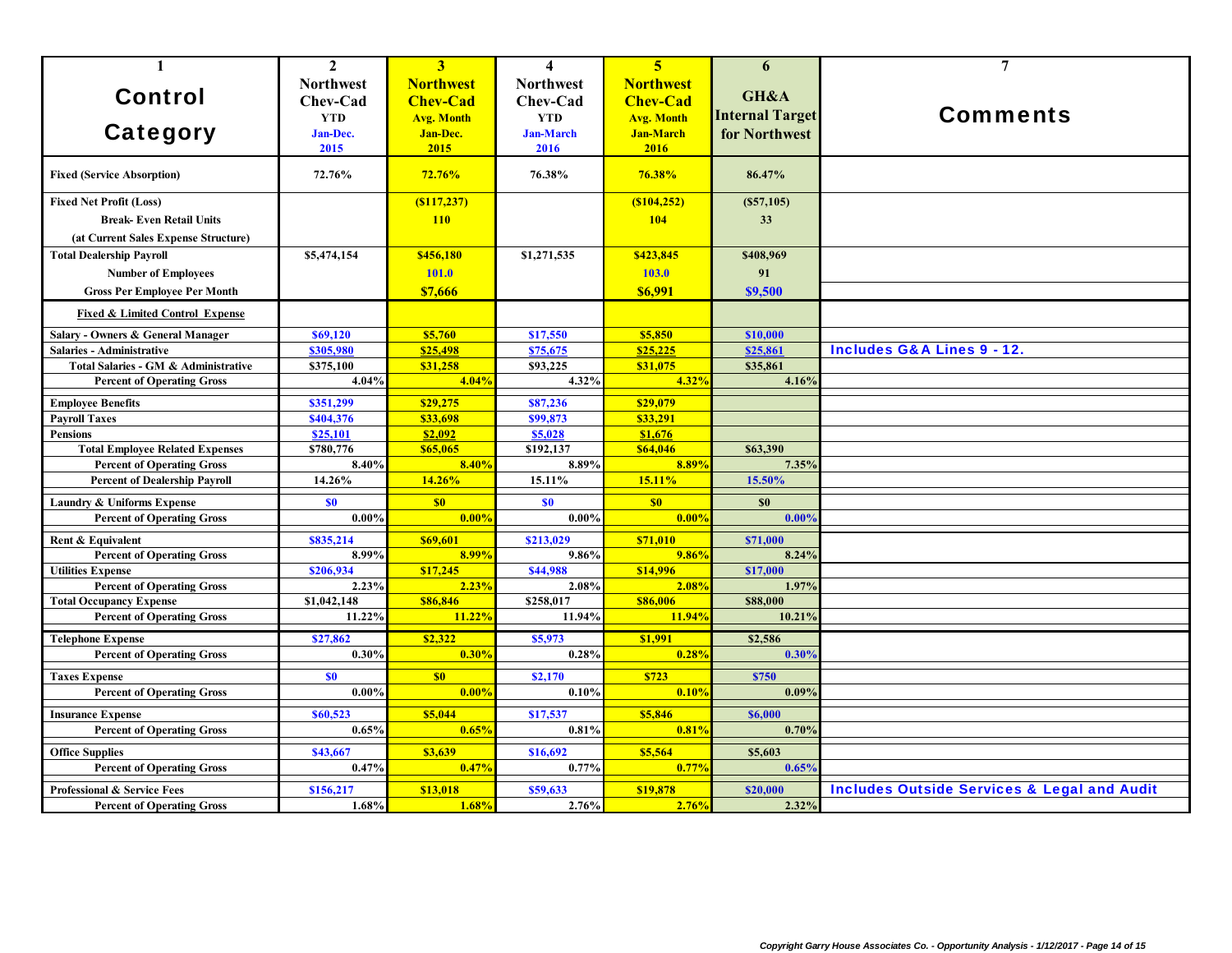| $\mathbf{1}$                               | $\mathbf{2}$     | 3                 | 4                | 5 <sup>1</sup>    | 6                      | $\overline{7}$                                         |
|--------------------------------------------|------------------|-------------------|------------------|-------------------|------------------------|--------------------------------------------------------|
|                                            | <b>Northwest</b> | <b>Northwest</b>  | <b>Northwest</b> | <b>Northwest</b>  |                        |                                                        |
| <b>Control</b>                             | Chev-Cad         | <b>Chev-Cad</b>   | Chev-Cad         | <b>Chev-Cad</b>   | GH&A                   |                                                        |
|                                            | <b>YTD</b>       | <b>Avg. Month</b> | <b>YTD</b>       | <b>Avg. Month</b> | <b>Internal Target</b> | <b>Comments</b>                                        |
| <b>Category</b>                            | Jan-Dec.         | <b>Jan-Dec.</b>   | <b>Jan-March</b> | <b>Jan-March</b>  | for Northwest          |                                                        |
|                                            | 2015             | 2015              | 2016             | 2016              |                        |                                                        |
|                                            |                  |                   |                  |                   |                        |                                                        |
| <b>Fixed (Service Absorption)</b>          | 72.76%           | 72.76%            | 76.38%           | 76.38%            | 86.47%                 |                                                        |
| <b>Fixed Net Profit (Loss)</b>             |                  | ( \$117, 237)     |                  | (S104, 252)       | (S57,105)              |                                                        |
| <b>Break-Even Retail Units</b>             |                  | <b>110</b>        |                  | 104               | 33                     |                                                        |
| (at Current Sales Expense Structure)       |                  |                   |                  |                   |                        |                                                        |
| <b>Total Dealership Payroll</b>            | \$5,474,154      | \$456,180         | \$1,271,535      | \$423,845         | \$408,969              |                                                        |
| <b>Number of Employees</b>                 |                  | 101.0             |                  | 103.0             | 91                     |                                                        |
| <b>Gross Per Employee Per Month</b>        |                  | \$7,666           |                  | <b>\$6.991</b>    | \$9,500                |                                                        |
|                                            |                  |                   |                  |                   |                        |                                                        |
| <b>Fixed &amp; Limited Control Expense</b> |                  |                   |                  |                   |                        |                                                        |
| Salary - Owners & General Manager          | \$69,120         | \$5,760           | \$17,550         | \$5,850           | \$10,000               |                                                        |
| <b>Salaries - Administrative</b>           | \$305,980        | \$25,498          | \$75,675         | \$25,225          | \$25,861               | <b>Includes G&amp;A Lines 9 - 12.</b>                  |
| Total Salaries - GM & Administrative       | \$375,100        | \$31,258          | \$93,225         | \$31,075          | \$35,861               |                                                        |
| <b>Percent of Operating Gross</b>          | 4.04%            | 4.04%             | 4.32%            | 4.32%             | 4.16%                  |                                                        |
| <b>Employee Benefits</b>                   | \$351,299        | \$29,275          | \$87,236         | \$29,079          |                        |                                                        |
| <b>Payroll Taxes</b>                       | \$404,376        | \$33,698          | \$99,873         | \$33,291          |                        |                                                        |
| <b>Pensions</b>                            | \$25,101         | \$2.092           | \$5,028          | \$1,676           |                        |                                                        |
| <b>Total Employee Related Expenses</b>     | \$780,776        | \$65,065          | \$192,137        | \$64,046          | \$63,390               |                                                        |
| <b>Percent of Operating Gross</b>          | 8.40%            | 8.40%             | 8.89%            | 8.89%             | 7.35%                  |                                                        |
| <b>Percent of Dealership Payroll</b>       | 14.26%           | 14.26%            | 15.11%           | 15.11%            | 15.50%                 |                                                        |
| <b>Laundry &amp; Uniforms Expense</b>      | \$0              | S <sub>0</sub>    | \$0              | \$0               | \$0                    |                                                        |
| <b>Percent of Operating Gross</b>          | $0.00\%$         | 0.00%             | 0.00%            | 0.00%             | 0.009                  |                                                        |
| Rent & Equivalent                          | \$835,214        | \$69,601          | \$213,029        | \$71,010          | \$71,000               |                                                        |
| <b>Percent of Operating Gross</b>          | 8.99%            | 8.99%             | 9.86%            | 9.86%             | 8.24%                  |                                                        |
| <b>Utilities Expense</b>                   | \$206,934        | \$17,245          | \$44,988         | \$14,996          | \$17,000               |                                                        |
| <b>Percent of Operating Gross</b>          | 2.23%            | 2.23%             | 2.08%            | 2.08%             | 1.97%                  |                                                        |
| <b>Total Occupancy Expense</b>             | \$1,042,148      | \$86,846          | \$258,017        | \$86,006          | \$88,000               |                                                        |
| <b>Percent of Operating Gross</b>          | 11.22%           | 11.22%            | 11.94%           | 11.94%            | 10.21%                 |                                                        |
| <b>Telephone Expense</b>                   | \$27,862         | \$2,322           | \$5,973          | \$1,991           | \$2,586                |                                                        |
| <b>Percent of Operating Gross</b>          | 0.30%            | 0.30%             | 0.28%            | 0.28%             | 0.30%                  |                                                        |
| <b>Taxes Expense</b>                       | \$0              | \$0               | \$2,170          | \$723             | <b>\$750</b>           |                                                        |
| <b>Percent of Operating Gross</b>          | 0.00%            | 0.009             | 0.10%            | 0.109             | 0.09%                  |                                                        |
| <b>Insurance Expense</b>                   | \$60,523         | \$5,044           | \$17,537         | \$5,846           | \$6,000                |                                                        |
| <b>Percent of Operating Gross</b>          | 0.65%            | 0.65%             | 0.81%            | 0.81%             | 0.70%                  |                                                        |
|                                            |                  |                   |                  |                   |                        |                                                        |
| <b>Office Supplies</b>                     | \$43,667         | \$3,639           | \$16,692         | \$5,564           | \$5,603                |                                                        |
| <b>Percent of Operating Gross</b>          | 0.47%            | 0.47%             | 0.77%            | 0.77%             | 0.65%                  |                                                        |
| <b>Professional &amp; Service Fees</b>     | \$156,217        | \$13,018          | \$59,633         | \$19,878          | \$20,000               | <b>Includes Outside Services &amp; Legal and Audit</b> |
| <b>Percent of Operating Gross</b>          | 1.68%            | 1.68%             | 2.76%            | 2.76%             | 2.32%                  |                                                        |